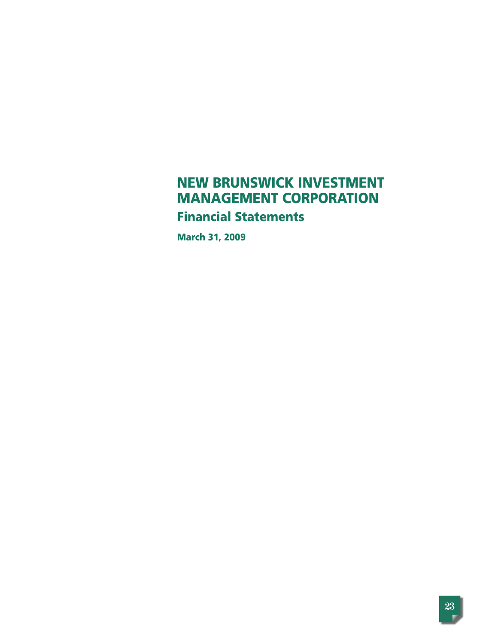# **NEW BRUNSWICK INVESTMENT MANAGEMENT CORPORATION Financial Statements**

**March 31, 2009**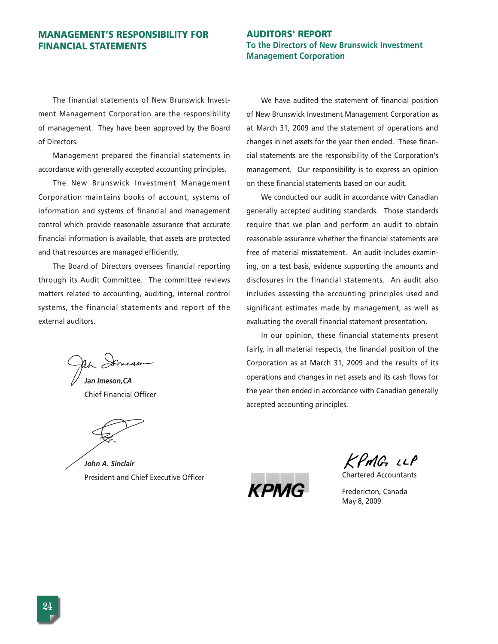# **MANAGEMENT'S RESPONSIBILITY FOR FINANCIAL STATEMENTS**

The financial statements of New Brunswick Investment Management Corporation are the responsibility of management. They have been approved by the Board of Directors.

Management prepared the financial statements in accordance with generally accepted accounting principles.

The New Brunswick Investment Management Corporation maintains books of account, systems of information and systems of financial and management control which provide reasonable assurance that accurate financial information is available, that assets are protected and that resources are managed efficiently.

The Board of Directors oversees financial reporting through its Audit Committee. The committee reviews matters related to accounting, auditing, internal control systems, the financial statements and report of the external auditors.

*Jan Imeson,CA* Chief Financial Officer

*John A. Sinclair* President and Chief Executive Officer

# **AUDITORS' REPORT To the Directors of New Brunswick Investment Management Corporation**

We have audited the statement of financial position of New Brunswick Investment Management Corporation as at March 31, 2009 and the statement of operations and changes in net assets for the year then ended. These financial statements are the responsibility of the Corporation's management. Our responsibility is to express an opinion on these financial statements based on our audit.

We conducted our audit in accordance with Canadian generally accepted auditing standards. Those standards require that we plan and perform an audit to obtain reasonable assurance whether the financial statements are free of material misstatement. An audit includes examining, on a test basis, evidence supporting the amounts and disclosures in the financial statements. An audit also includes assessing the accounting principles used and significant estimates made by management, as well as evaluating the overall financial statement presentation.

In our opinion, these financial statements present fairly, in all material respects, the financial position of the Corporation as at March 31, 2009 and the results of its operations and changes in net assets and its cash flows for the year then ended in accordance with Canadian generally accepted accounting principles.

KPMG LLP

Chartered Accountants

Fredericton, Canada May 8, 2009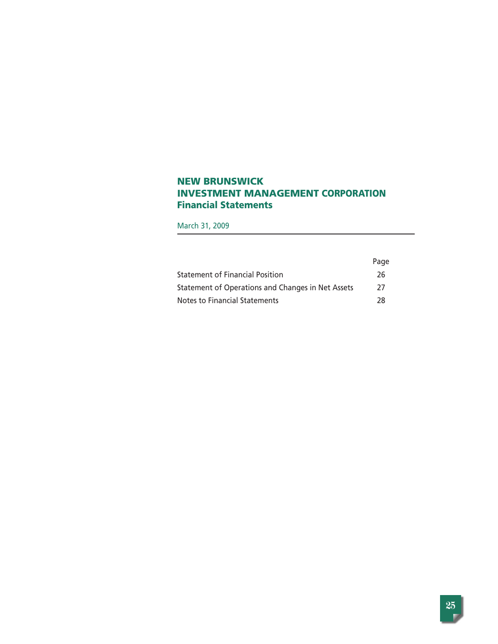# **NEW BRUNSWICK INVESTMENT MANAGEMENT CORPORATION Financial Statements**

March 31, 2009

|                                                   | Page |
|---------------------------------------------------|------|
| <b>Statement of Financial Position</b>            | 26   |
| Statement of Operations and Changes in Net Assets | 27   |
| Notes to Financial Statements                     | 78   |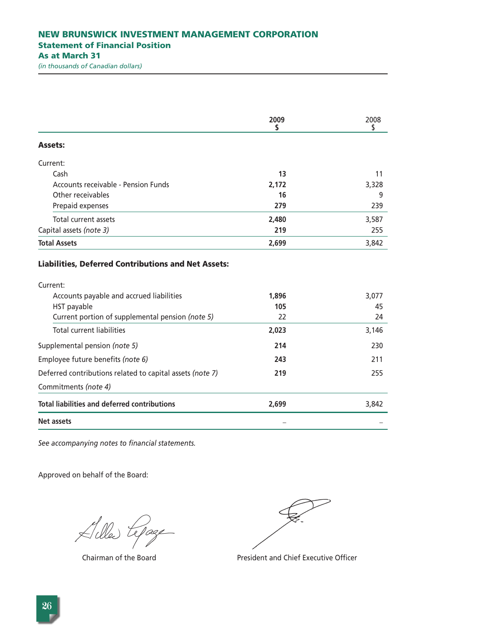|                                                                     | 2009<br>S          | 2008<br>\$        |
|---------------------------------------------------------------------|--------------------|-------------------|
| <b>Assets:</b>                                                      |                    |                   |
| Current:                                                            |                    |                   |
| Cash                                                                | 13                 | 11                |
| Accounts receivable - Pension Funds                                 | 2.172              | 3,328             |
| Other receivables                                                   | 16                 | 9                 |
| Prepaid expenses                                                    | 279                | 239               |
| Total current assets                                                | 2,480              | 3.587             |
| Capital assets (note 3)                                             | 219                | 255               |
| <b>Total Assets</b>                                                 | 2,699              | 3,842             |
| Current:<br>Accounts payable and accrued liabilities<br>HST payable | 1,896<br>105<br>22 | 3,077<br>45<br>24 |
| Current portion of supplemental pension (note 5)                    |                    |                   |
| <b>Total current liabilities</b>                                    | 2,023              | 3,146             |
| Supplemental pension (note 5)                                       | 214                | 230               |
| Employee future benefits (note 6)                                   | 243                | 211               |
| Deferred contributions related to capital assets (note 7)           | 219                | 255               |
| Commitments (note 4)                                                |                    |                   |
| <b>Total liabilities and deferred contributions</b>                 | 2,699              | 3,842             |
| <b>Net assets</b>                                                   |                    |                   |

*See accompanying notes to financial statements.*

Lille tepage

Chairman of the Board **President and Chief Executive Officer**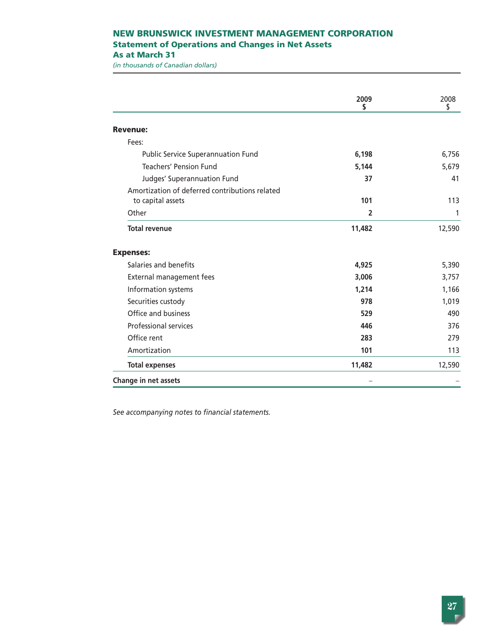# **NEW BRUNSWICK INVESTMENT MANAGEMENT CORPORATION Statement of Operations and Changes in Net Assets As at March 31**

*(in thousands of Canadian dollars)*

|                                                | 2009<br>S      | 2008<br>\$ |
|------------------------------------------------|----------------|------------|
| <b>Revenue:</b>                                |                |            |
| Fees:                                          |                |            |
| <b>Public Service Superannuation Fund</b>      | 6,198          | 6,756      |
| <b>Teachers' Pension Fund</b>                  | 5,144          | 5,679      |
| Judges' Superannuation Fund                    | 37             | 41         |
| Amortization of deferred contributions related |                |            |
| to capital assets                              | 101            | 113        |
| Other                                          | $\overline{2}$ | 1          |
| <b>Total revenue</b>                           | 11,482         | 12,590     |
| <b>Expenses:</b>                               |                |            |
| Salaries and benefits                          | 4,925          | 5,390      |
| External management fees                       | 3,006          | 3,757      |
| Information systems                            | 1,214          | 1,166      |
| Securities custody                             | 978            | 1,019      |
| Office and business                            | 529            | 490        |
| <b>Professional services</b>                   | 446            | 376        |
| Office rent                                    | 283            | 279        |
| Amortization                                   | 101            | 113        |
| <b>Total expenses</b>                          | 11,482         | 12,590     |
| Change in net assets                           |                |            |

*See accompanying notes to financial statements.*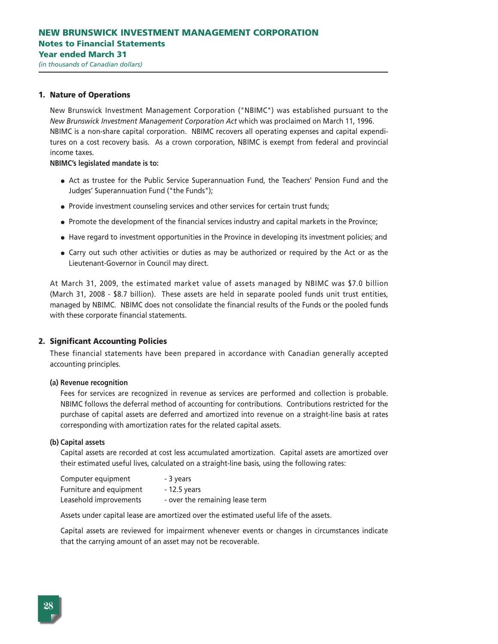#### **1. Nature of Operations**

New Brunswick Investment Management Corporation ("NBIMC") was established pursuant to the *New Brunswick Investment Management Corporation Act* which was proclaimed on March 11, 1996. NBIMC is a non-share capital corporation. NBIMC recovers all operating expenses and capital expenditures on a cost recovery basis. As a crown corporation, NBIMC is exempt from federal and provincial income taxes.

**NBIMC's legislated mandate is to:**

- Act as trustee for the Public Service Superannuation Fund, the Teachers' Pension Fund and the Judges' Superannuation Fund ("the Funds");
- Provide investment counseling services and other services for certain trust funds;
- Promote the development of the financial services industry and capital markets in the Province;
- Have regard to investment opportunities in the Province in developing its investment policies; and
- Carry out such other activities or duties as may be authorized or required by the Act or as the Lieutenant-Governor in Council may direct.

At March 31, 2009, the estimated market value of assets managed by NBIMC was \$7.0 billion (March 31, 2008 - \$8.7 billion). These assets are held in separate pooled funds unit trust entities, managed by NBIMC. NBIMC does not consolidate the financial results of the Funds or the pooled funds with these corporate financial statements.

#### **2. Significant Accounting Policies**

These financial statements have been prepared in accordance with Canadian generally accepted accounting principles.

#### **(a) Revenue recognition**

Fees for services are recognized in revenue as services are performed and collection is probable. NBIMC follows the deferral method of accounting for contributions. Contributions restricted for the purchase of capital assets are deferred and amortized into revenue on a straight-line basis at rates corresponding with amortization rates for the related capital assets.

#### **(b) Capital assets**

Capital assets are recorded at cost less accumulated amortization. Capital assets are amortized over their estimated useful lives, calculated on a straight-line basis, using the following rates:

| Computer equipment      | - 3 years                       |
|-------------------------|---------------------------------|
| Furniture and equipment | $-12.5$ years                   |
| Leasehold improvements  | - over the remaining lease term |

Assets under capital lease are amortized over the estimated useful life of the assets.

Capital assets are reviewed for impairment whenever events or changes in circumstances indicate that the carrying amount of an asset may not be recoverable.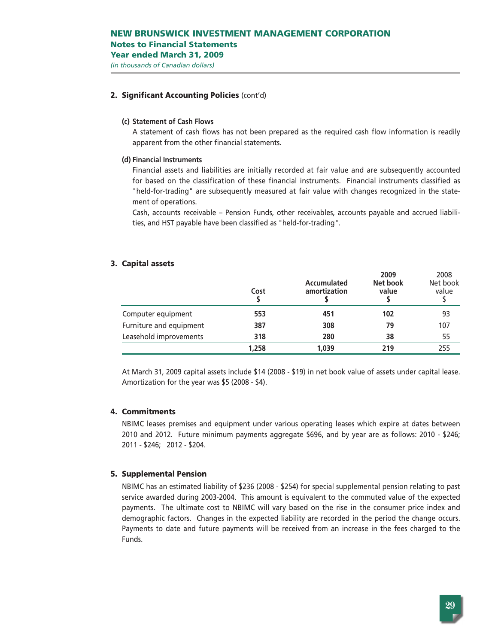### **2. Significant Accounting Policies** (cont'd)

#### **(c) Statement of Cash Flows**

A statement of cash flows has not been prepared as the required cash flow information is readily apparent from the other financial statements.

#### **(d) Financial Instruments**

Financial assets and liabilities are initially recorded at fair value and are subsequently accounted for based on the classification of these financial instruments. Financial instruments classified as "held-for-trading" are subsequently measured at fair value with changes recognized in the statement of operations.

Cash, accounts receivable – Pension Funds, other receivables, accounts payable and accrued liabilities, and HST payable have been classified as "held-for-trading".

#### **3. Capital assets**

|                         | Cost  | Accumulated<br>amortization | 2009<br>Net book<br>value | 2008<br>Net book<br>value |
|-------------------------|-------|-----------------------------|---------------------------|---------------------------|
| Computer equipment      | 553   | 451                         | 102                       | 93                        |
| Furniture and equipment | 387   | 308                         | 79                        | 107                       |
| Leasehold improvements  | 318   | 280                         | 38                        | 55                        |
|                         | 1,258 | 1,039                       | 219                       | 255                       |

At March 31, 2009 capital assets include \$14 (2008 - \$19) in net book value of assets under capital lease. Amortization for the year was \$5 (2008 - \$4).

# **4. Commitments**

NBIMC leases premises and equipment under various operating leases which expire at dates between 2010 and 2012. Future minimum payments aggregate \$696, and by year are as follows: 2010 - \$246; 2011 - \$246; 2012 - \$204.

#### **5. Supplemental Pension**

NBIMC has an estimated liability of \$236 (2008 - \$254) for special supplemental pension relating to past service awarded during 2003-2004. This amount is equivalent to the commuted value of the expected payments. The ultimate cost to NBIMC will vary based on the rise in the consumer price index and demographic factors. Changes in the expected liability are recorded in the period the change occurs. Payments to date and future payments will be received from an increase in the fees charged to the Funds.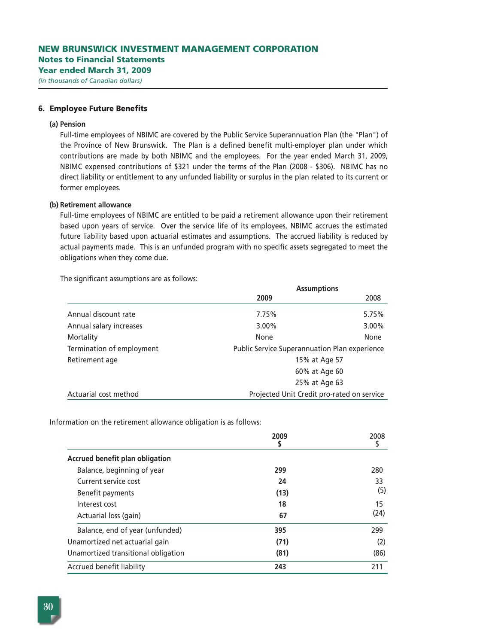#### **6. Employee Future Benefits**

#### **(a) Pension**

Full-time employees of NBIMC are covered by the Public Service Superannuation Plan (the "Plan") of the Province of New Brunswick. The Plan is a defined benefit multi-employer plan under which contributions are made by both NBIMC and the employees. For the year ended March 31, 2009, NBIMC expensed contributions of \$321 under the terms of the Plan (2008 - \$306). NBIMC has no direct liability or entitlement to any unfunded liability or surplus in the plan related to its current or former employees.

#### **(b) Retirement allowance**

Full-time employees of NBIMC are entitled to be paid a retirement allowance upon their retirement based upon years of service. Over the service life of its employees, NBIMC accrues the estimated future liability based upon actuarial estimates and assumptions. The accrued liability is reduced by actual payments made. This is an unfunded program with no specific assets segregated to meet the obligations when they come due.

The significant assumptions are as follows:

|                           | <b>Assumptions</b>                                   |          |
|---------------------------|------------------------------------------------------|----------|
|                           | 2009                                                 | 2008     |
| Annual discount rate      | 7.75%                                                | 5.75%    |
| Annual salary increases   | 3.00%                                                | $3.00\%$ |
| Mortality                 | None                                                 | None     |
| Termination of employment | <b>Public Service Superannuation Plan experience</b> |          |
| Retirement age            | 15% at Age 57                                        |          |
|                           | 60% at Age 60                                        |          |
|                           | 25% at Age 63                                        |          |
| Actuarial cost method     | Projected Unit Credit pro-rated on service           |          |

Information on the retirement allowance obligation is as follows:

|                                     | 2009 | 2008 |
|-------------------------------------|------|------|
| Accrued benefit plan obligation     |      |      |
| Balance, beginning of year          | 299  | 280  |
| Current service cost                | 24   | 33   |
| Benefit payments                    | (13) | (5)  |
| Interest cost                       | 18   | 15   |
| Actuarial loss (gain)               | 67   | (24) |
| Balance, end of year (unfunded)     | 395  | 299  |
| Unamortized net actuarial gain      | (71) | (2)  |
| Unamortized transitional obligation | (81) | (86) |
| Accrued benefit liability           | 243  | 211  |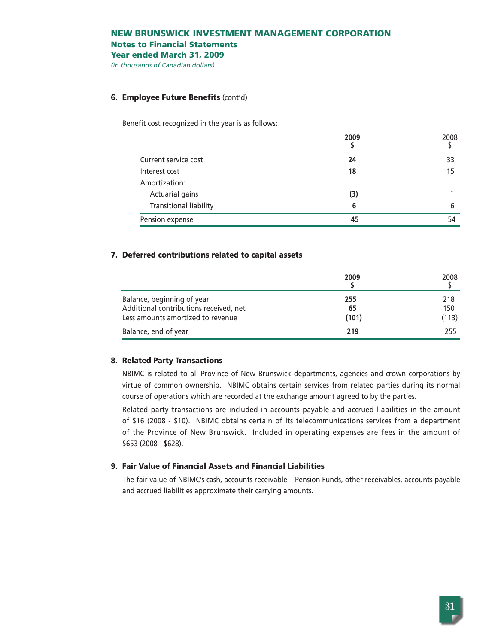# **NEW BRUNSWICK INVESTMENT MANAGEMENT CORPORATION Notes to Financial Statements Year ended March 31, 2009**

*(in thousands of Canadian dollars)*

# **6. Employee Future Benefits** (cont'd)

Benefit cost recognized in the year is as follows:

|                        | 2009 | 2008 |
|------------------------|------|------|
| Current service cost   | 24   | 33   |
| Interest cost          | 18   | 15   |
| Amortization:          |      |      |
| Actuarial gains        | (3)  |      |
| Transitional liability | 6    | 6    |
| Pension expense        | 45   | 54   |

# **7. Deferred contributions related to capital assets**

|                                        | 2009  | 2008  |
|----------------------------------------|-------|-------|
| Balance, beginning of year             | 255   | 218   |
| Additional contributions received, net | 65    | 150   |
| Less amounts amortized to revenue      | (101) | (113) |
| Balance, end of year                   | 219   | 255   |

# **8. Related Party Transactions**

NBIMC is related to all Province of New Brunswick departments, agencies and crown corporations by virtue of common ownership. NBIMC obtains certain services from related parties during its normal course of operations which are recorded at the exchange amount agreed to by the parties.

Related party transactions are included in accounts payable and accrued liabilities in the amount of \$16 (2008 - \$10). NBIMC obtains certain of its telecommunications services from a department of the Province of New Brunswick. Included in operating expenses are fees in the amount of \$653 (2008 - \$628).

#### **9. Fair Value of Financial Assets and Financial Liabilities**

The fair value of NBIMC's cash, accounts receivable – Pension Funds, other receivables, accounts payable and accrued liabilities approximate their carrying amounts.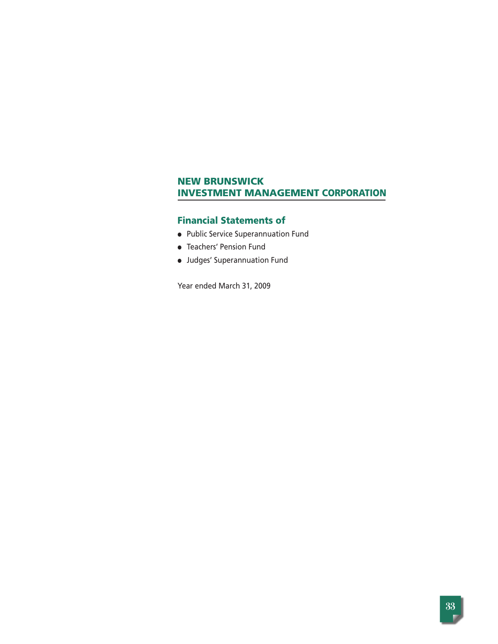# **Financial Statements of**

- Public Service Superannuation Fund
- Teachers' Pension Fund
- Judges' Superannuation Fund

Year ended March 31, 2009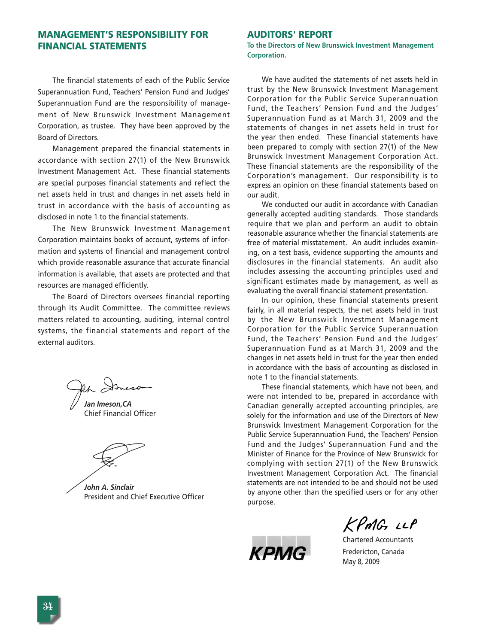# **MANAGEMENT'S RESPONSIBILITY FOR FINANCIAL STATEMENTS**

The financial statements of each of the Public Service Superannuation Fund, Teachers' Pension Fund and Judges' Superannuation Fund are the responsibility of management of New Brunswick Investment Management Corporation, as trustee. They have been approved by the Board of Directors.

Management prepared the financial statements in accordance with section 27(1) of the New Brunswick Investment Management Act. These financial statements are special purposes financial statements and reflect the net assets held in trust and changes in net assets held in trust in accordance with the basis of accounting as disclosed in note 1 to the financial statements.

The New Brunswick Investment Management Corporation maintains books of account, systems of information and systems of financial and management control which provide reasonable assurance that accurate financial information is available, that assets are protected and that resources are managed efficiently.

The Board of Directors oversees financial reporting through its Audit Committee. The committee reviews matters related to accounting, auditing, internal control systems, the financial statements and report of the external auditors.

Ah Imeson

*Jan Imeson,CA* Chief Financial Officer

*John A. Sinclair* President and Chief Executive Officer

# **AUDITORS' REPORT**

**To the Directors of New Brunswick Investment Management Corporation.** 

We have audited the statements of net assets held in trust by the New Brunswick Investment Management Corporation for the Public Service Superannuation Fund, the Teachers' Pension Fund and the Judges' Superannuation Fund as at March 31, 2009 and the statements of changes in net assets held in trust for the year then ended. These financial statements have been prepared to comply with section 27(1) of the New Brunswick Investment Management Corporation Act. These financial statements are the responsibility of the Corporation's management. Our responsibility is to express an opinion on these financial statements based on our audit.

We conducted our audit in accordance with Canadian generally accepted auditing standards. Those standards require that we plan and perform an audit to obtain reasonable assurance whether the financial statements are free of material misstatement. An audit includes examining, on a test basis, evidence supporting the amounts and disclosures in the financial statements. An audit also includes assessing the accounting principles used and significant estimates made by management, as well as evaluating the overall financial statement presentation.

In our opinion, these financial statements present fairly, in all material respects, the net assets held in trust by the New Brunswick Investment Management Corporation for the Public Service Superannuation Fund, the Teachers' Pension Fund and the Judges' Superannuation Fund as at March 31, 2009 and the changes in net assets held in trust for the year then ended in accordance with the basis of accounting as disclosed in note 1 to the financial statements.

These financial statements, which have not been, and were not intended to be, prepared in accordance with Canadian generally accepted accounting principles, are solely for the information and use of the Directors of New Brunswick Investment Management Corporation for the Public Service Superannuation Fund, the Teachers' Pension Fund and the Judges' Superannuation Fund and the Minister of Finance for the Province of New Brunswick for complying with section 27(1) of the New Brunswick Investment Management Corporation Act. The financial statements are not intended to be and should not be used by anyone other than the specified users or for any other purpose.



KPMG LLP

Chartered Accountants Fredericton, Canada May 8, 2009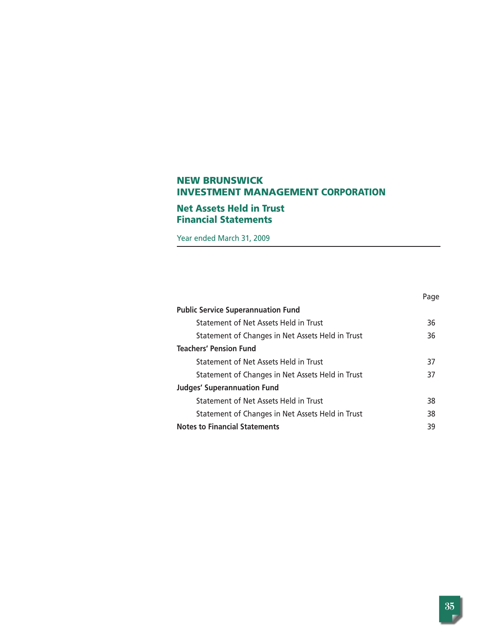# **Net Assets Held in Trust Financial Statements**

Year ended March 31, 2009

|                                                  | Page |
|--------------------------------------------------|------|
| <b>Public Service Superannuation Fund</b>        |      |
| Statement of Net Assets Held in Trust            | 36   |
| Statement of Changes in Net Assets Held in Trust | 36   |
| <b>Teachers' Pension Fund</b>                    |      |
| Statement of Net Assets Held in Trust            | 37   |
| Statement of Changes in Net Assets Held in Trust | 37   |
| <b>Judges' Superannuation Fund</b>               |      |
| Statement of Net Assets Held in Trust            | 38   |
| Statement of Changes in Net Assets Held in Trust | 38   |
| <b>Notes to Financial Statements</b>             | 39   |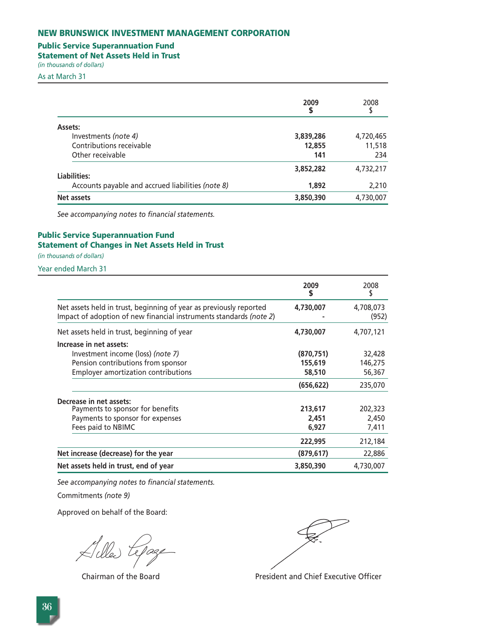# **Public Service Superannuation Fund**

**Statement of Net Assets Held in Trust** 

*(in thousands of dollars)*  As at March 31

|                                                   | 2009<br>S | 2008      |
|---------------------------------------------------|-----------|-----------|
| Assets:                                           |           |           |
| Investments (note 4)                              | 3,839,286 | 4,720,465 |
| Contributions receivable                          | 12,855    | 11,518    |
| Other receivable                                  | 141       | 234       |
| Liabilities:                                      | 3,852,282 | 4,732,217 |
| Accounts payable and accrued liabilities (note 8) | 1,892     | 2,210     |
| Net assets                                        | 3,850,390 | 4,730,007 |

*See accompanying notes to financial statements.*

# **Public Service Superannuation Fund Statement of Changes in Net Assets Held in Trust**

*(in thousands of dollars)* 

Year ended March 31

|                                                                                                                                          | 2009       | 2008               |
|------------------------------------------------------------------------------------------------------------------------------------------|------------|--------------------|
| Net assets held in trust, beginning of year as previously reported<br>Impact of adoption of new financial instruments standards (note 2) | 4,730,007  | 4,708,073<br>(952) |
| Net assets held in trust, beginning of year                                                                                              | 4,730,007  | 4,707,121          |
| Increase in net assets:                                                                                                                  |            |                    |
| Investment income (loss) (note 7)                                                                                                        | (870, 751) | 32,428             |
| Pension contributions from sponsor                                                                                                       | 155,619    | 146,275            |
| <b>Employer amortization contributions</b>                                                                                               | 58,510     | 56,367             |
|                                                                                                                                          | (656, 622) | 235,070            |
| Decrease in net assets:                                                                                                                  |            |                    |
| Payments to sponsor for benefits                                                                                                         | 213,617    | 202,323            |
| Payments to sponsor for expenses                                                                                                         | 2,451      | 2,450              |
| Fees paid to NBIMC                                                                                                                       | 6,927      | 7,411              |
|                                                                                                                                          | 222,995    | 212,184            |
| Net increase (decrease) for the year                                                                                                     | (879, 617) | 22,886             |
| Net assets held in trust, end of year                                                                                                    | 3,850,390  | 4,730,007          |

*See accompanying notes to financial statements.*

Commitments *(note 9)*

Chairman of the Board **President and Chief Executive Officer**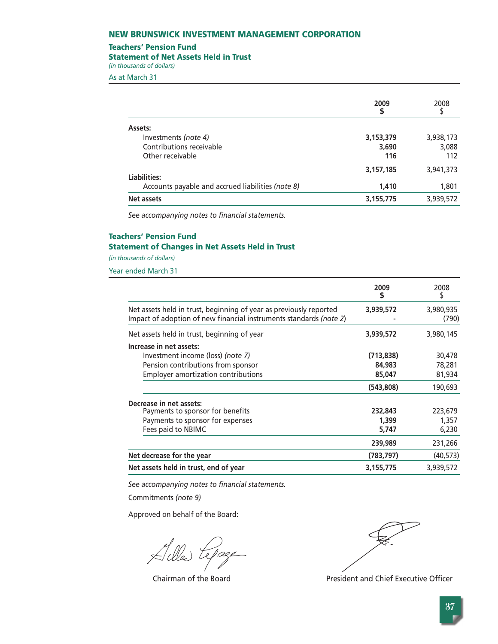#### **Teachers' Pension Fund**

#### **Statement of Net Assets Held in Trust**

*(in thousands of dollars)* 

As at March 31

|                                                   | 2009      | 2008      |
|---------------------------------------------------|-----------|-----------|
| Assets:                                           |           |           |
| Investments (note 4)                              | 3,153,379 | 3,938,173 |
| Contributions receivable                          | 3,690     | 3,088     |
| Other receivable                                  | 116       | 112       |
| Liabilities:                                      | 3,157,185 | 3,941,373 |
| Accounts payable and accrued liabilities (note 8) | 1,410     | 1,801     |
| Net assets                                        | 3,155,775 | 3,939,572 |

*See accompanying notes to financial statements.*

# **Teachers' Pension Fund Statement of Changes in Net Assets Held in Trust**

*(in thousands of dollars)* 

Year ended March 31

|                                                                                                                                          | 2009<br>S  | 2008               |
|------------------------------------------------------------------------------------------------------------------------------------------|------------|--------------------|
| Net assets held in trust, beginning of year as previously reported<br>Impact of adoption of new financial instruments standards (note 2) | 3,939,572  | 3,980,935<br>(790) |
| Net assets held in trust, beginning of year                                                                                              | 3,939,572  | 3,980,145          |
| Increase in net assets:                                                                                                                  |            |                    |
| Investment income (loss) (note 7)                                                                                                        | (713, 838) | 30,478             |
| Pension contributions from sponsor                                                                                                       | 84,983     | 78,281             |
| <b>Employer amortization contributions</b>                                                                                               | 85,047     | 81,934             |
|                                                                                                                                          | (543,808)  | 190,693            |
| Decrease in net assets:                                                                                                                  |            |                    |
| Payments to sponsor for benefits                                                                                                         | 232,843    | 223,679            |
| Payments to sponsor for expenses                                                                                                         | 1,399      | 1,357              |
| Fees paid to NBIMC                                                                                                                       | 5,747      | 6,230              |
|                                                                                                                                          | 239,989    | 231,266            |
| Net decrease for the year                                                                                                                | (783, 797) | (40, 573)          |
| Net assets held in trust, end of year                                                                                                    | 3,155,775  | 3,939,572          |

*See accompanying notes to financial statements.*

Commitments *(note 9)*

Killed tepage

Chairman of the Board **President and Chief Executive Officer**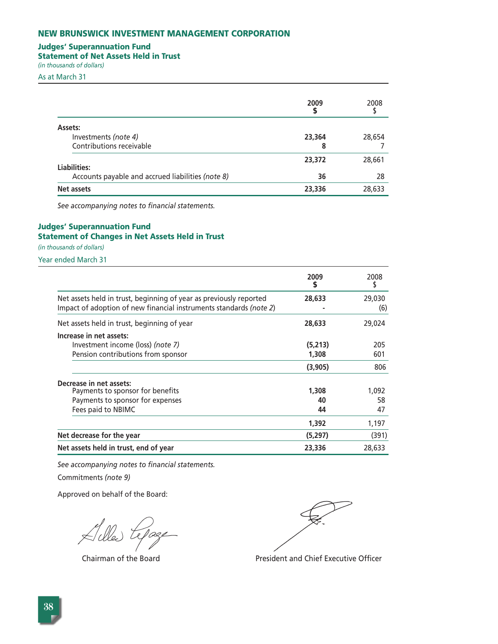# **Judges' Superannuation Fund**

**Statement of Net Assets Held in Trust** 

*(in thousands of dollars)* 

As at March 31

|                                                   | 2009<br>S | 2008   |
|---------------------------------------------------|-----------|--------|
| Assets:                                           |           |        |
| Investments (note 4)                              | 23,364    | 28,654 |
| Contributions receivable                          | 8         |        |
| Liabilities:                                      | 23,372    | 28,661 |
| Accounts payable and accrued liabilities (note 8) | 36        | 28     |
| Net assets                                        | 23,336    | 28,633 |

*See accompanying notes to financial statements.*

# **Judges' Superannuation Fund Statement of Changes in Net Assets Held in Trust**

*(in thousands of dollars)* 

Year ended March 31

|                                                                                                                                          | 2009<br>S | 2008          |
|------------------------------------------------------------------------------------------------------------------------------------------|-----------|---------------|
| Net assets held in trust, beginning of year as previously reported<br>Impact of adoption of new financial instruments standards (note 2) | 28,633    | 29,030<br>(6) |
| Net assets held in trust, beginning of year                                                                                              | 28,633    | 29,024        |
| Increase in net assets:                                                                                                                  |           |               |
| Investment income (loss) (note 7)                                                                                                        | (5,213)   | 205           |
| Pension contributions from sponsor                                                                                                       | 1,308     | 601           |
|                                                                                                                                          | (3,905)   | 806           |
| Decrease in net assets:                                                                                                                  |           |               |
| Payments to sponsor for benefits                                                                                                         | 1,308     | 1,092         |
| Payments to sponsor for expenses                                                                                                         | 40        | 58            |
| Fees paid to NBIMC                                                                                                                       | 44        | 47            |
|                                                                                                                                          | 1,392     | 1,197         |
| Net decrease for the year                                                                                                                | (5,297)   | (391)         |
| Net assets held in trust, end of year                                                                                                    | 23,336    | 28,633        |

*See accompanying notes to financial statements.*

Commitments *(note 9)*

lage

Chairman of the Board **President and Chief Executive Officer**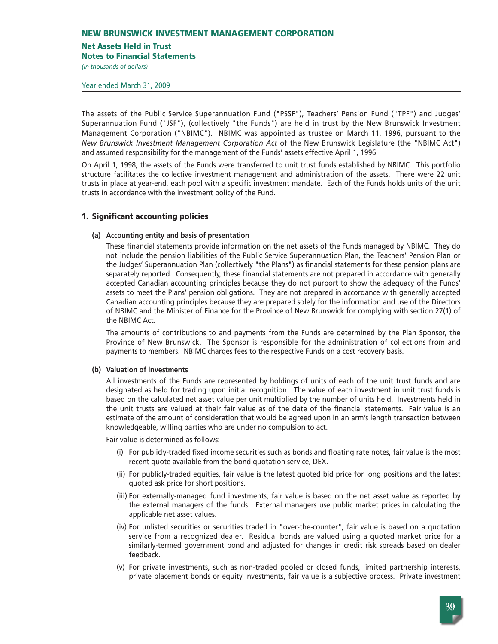# **Net Assets Held in Trust**

**Notes to Financial Statements**

*(in thousands of dollars)* 

Year ended March 31, 2009

The assets of the Public Service Superannuation Fund ("PSSF"), Teachers' Pension Fund ("TPF") and Judges' Superannuation Fund ("JSF"), (collectively "the Funds") are held in trust by the New Brunswick Investment Management Corporation ("NBIMC"). NBIMC was appointed as trustee on March 11, 1996, pursuant to the *New Brunswick Investment Management Corporation Act* of the New Brunswick Legislature (the "NBIMC Act") and assumed responsibility for the management of the Funds' assets effective April 1, 1996.

On April 1, 1998, the assets of the Funds were transferred to unit trust funds established by NBIMC. This portfolio structure facilitates the collective investment management and administration of the assets. There were 22 unit trusts in place at year-end, each pool with a specific investment mandate. Each of the Funds holds units of the unit trusts in accordance with the investment policy of the Fund.

# **1. Significant accounting policies**

#### **(a) Accounting entity and basis of presentation**

These financial statements provide information on the net assets of the Funds managed by NBIMC. They do not include the pension liabilities of the Public Service Superannuation Plan, the Teachers' Pension Plan or the Judges' Superannuation Plan (collectively "the Plans") as financial statements for these pension plans are separately reported. Consequently, these financial statements are not prepared in accordance with generally accepted Canadian accounting principles because they do not purport to show the adequacy of the Funds' assets to meet the Plans' pension obligations. They are not prepared in accordance with generally accepted Canadian accounting principles because they are prepared solely for the information and use of the Directors of NBIMC and the Minister of Finance for the Province of New Brunswick for complying with section 27(1) of the NBIMC Act.

The amounts of contributions to and payments from the Funds are determined by the Plan Sponsor, the Province of New Brunswick. The Sponsor is responsible for the administration of collections from and payments to members. NBIMC charges fees to the respective Funds on a cost recovery basis.

# **(b) Valuation of investments**

All investments of the Funds are represented by holdings of units of each of the unit trust funds and are designated as held for trading upon initial recognition. The value of each investment in unit trust funds is based on the calculated net asset value per unit multiplied by the number of units held. Investments held in the unit trusts are valued at their fair value as of the date of the financial statements. Fair value is an estimate of the amount of consideration that would be agreed upon in an arm's length transaction between knowledgeable, willing parties who are under no compulsion to act.

Fair value is determined as follows:

- (i) For publicly-traded fixed income securities such as bonds and floating rate notes, fair value is the most recent quote available from the bond quotation service, DEX.
- (ii) For publicly-traded equities, fair value is the latest quoted bid price for long positions and the latest quoted ask price for short positions.
- (iii) For externally-managed fund investments, fair value is based on the net asset value as reported by the external managers of the funds. External managers use public market prices in calculating the applicable net asset values.
- (iv) For unlisted securities or securities traded in "over-the-counter", fair value is based on a quotation service from a recognized dealer. Residual bonds are valued using a quoted market price for a similarly-termed government bond and adjusted for changes in credit risk spreads based on dealer feedback.
- (v) For private investments, such as non-traded pooled or closed funds, limited partnership interests, private placement bonds or equity investments, fair value is a subjective process. Private investment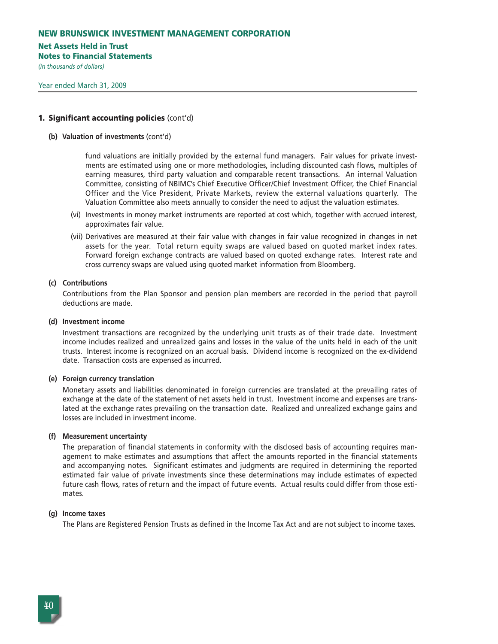#### **Net Assets Held in Trust**

**Notes to Financial Statements**

*(in thousands of dollars)* 

### **1. Significant accounting policies** (cont'd)

**(b) Valuation of investments** (cont'd)

fund valuations are initially provided by the external fund managers. Fair values for private investments are estimated using one or more methodologies, including discounted cash flows, multiples of earning measures, third party valuation and comparable recent transactions. An internal Valuation Committee, consisting of NBIMC's Chief Executive Officer/Chief Investment Officer, the Chief Financial Officer and the Vice President, Private Markets, review the external valuations quarterly. The Valuation Committee also meets annually to consider the need to adjust the valuation estimates.

- (vi) Investments in money market instruments are reported at cost which, together with accrued interest, approximates fair value.
- (vii) Derivatives are measured at their fair value with changes in fair value recognized in changes in net assets for the year. Total return equity swaps are valued based on quoted market index rates. Forward foreign exchange contracts are valued based on quoted exchange rates. Interest rate and cross currency swaps are valued using quoted market information from Bloomberg.

#### **(c) Contributions**

Contributions from the Plan Sponsor and pension plan members are recorded in the period that payroll deductions are made.

**(d) Investment income**

Investment transactions are recognized by the underlying unit trusts as of their trade date. Investment income includes realized and unrealized gains and losses in the value of the units held in each of the unit trusts. Interest income is recognized on an accrual basis. Dividend income is recognized on the ex-dividend date. Transaction costs are expensed as incurred.

#### **(e) Foreign currency translation**

Monetary assets and liabilities denominated in foreign currencies are translated at the prevailing rates of exchange at the date of the statement of net assets held in trust. Investment income and expenses are translated at the exchange rates prevailing on the transaction date. Realized and unrealized exchange gains and losses are included in investment income.

#### **(f) Measurement uncertainty**

The preparation of financial statements in conformity with the disclosed basis of accounting requires management to make estimates and assumptions that affect the amounts reported in the financial statements and accompanying notes. Significant estimates and judgments are required in determining the reported estimated fair value of private investments since these determinations may include estimates of expected future cash flows, rates of return and the impact of future events. Actual results could differ from those estimates.

# **(g) Income taxes**

The Plans are Registered Pension Trusts as defined in the Income Tax Act and are not subject to income taxes.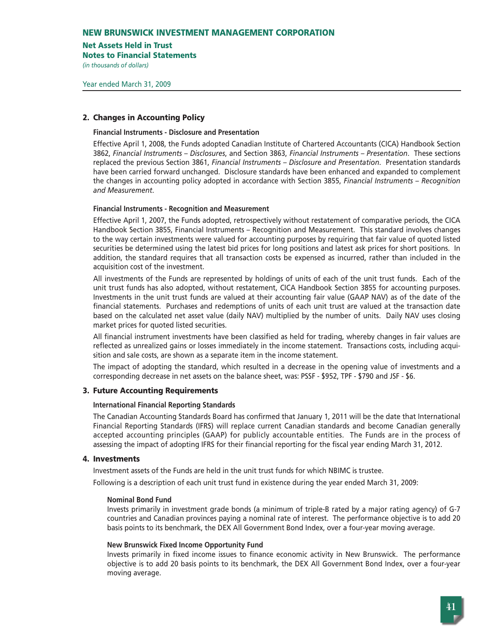#### **Net Assets Held in Trust**

**Notes to Financial Statements**

*(in thousands of dollars)* 

# **2. Changes in Accounting Policy**

#### **Financial Instruments - Disclosure and Presentation**

Effective April 1, 2008, the Funds adopted Canadian Institute of Chartered Accountants (CICA) Handbook Section 3862, *Financial Instruments – Disclosures*, and Section 3863, *Financial Instruments – Presentation*. These sections replaced the previous Section 3861, *Financial Instruments – Disclosure and Presentation*. Presentation standards have been carried forward unchanged. Disclosure standards have been enhanced and expanded to complement the changes in accounting policy adopted in accordance with Section 3855, *Financial Instruments – Recognition and Measurement*.

#### **Financial Instruments - Recognition and Measurement**

Effective April 1, 2007, the Funds adopted, retrospectively without restatement of comparative periods, the CICA Handbook Section 3855, Financial Instruments – Recognition and Measurement. This standard involves changes to the way certain investments were valued for accounting purposes by requiring that fair value of quoted listed securities be determined using the latest bid prices for long positions and latest ask prices for short positions. In addition, the standard requires that all transaction costs be expensed as incurred, rather than included in the acquisition cost of the investment.

All investments of the Funds are represented by holdings of units of each of the unit trust funds. Each of the unit trust funds has also adopted, without restatement, CICA Handbook Section 3855 for accounting purposes. Investments in the unit trust funds are valued at their accounting fair value (GAAP NAV) as of the date of the financial statements. Purchases and redemptions of units of each unit trust are valued at the transaction date based on the calculated net asset value (daily NAV) multiplied by the number of units. Daily NAV uses closing market prices for quoted listed securities.

All financial instrument investments have been classified as held for trading, whereby changes in fair values are reflected as unrealized gains or losses immediately in the income statement. Transactions costs, including acquisition and sale costs, are shown as a separate item in the income statement.

The impact of adopting the standard, which resulted in a decrease in the opening value of investments and a corresponding decrease in net assets on the balance sheet, was: PSSF - \$952, TPF - \$790 and JSF - \$6.

# **3. Future Accounting Requirements**

# **International Financial Reporting Standards**

The Canadian Accounting Standards Board has confirmed that January 1, 2011 will be the date that International Financial Reporting Standards (IFRS) will replace current Canadian standards and become Canadian generally accepted accounting principles (GAAP) for publicly accountable entities. The Funds are in the process of assessing the impact of adopting IFRS for their financial reporting for the fiscal year ending March 31, 2012.

# **4. Investments**

Investment assets of the Funds are held in the unit trust funds for which NBIMC is trustee.

Following is a description of each unit trust fund in existence during the year ended March 31, 2009:

#### **Nominal Bond Fund**

Invests primarily in investment grade bonds (a minimum of triple-B rated by a major rating agency) of G-7 countries and Canadian provinces paying a nominal rate of interest. The performance objective is to add 20 basis points to its benchmark, the DEX All Government Bond Index, over a four-year moving average.

# **New Brunswick Fixed Income Opportunity Fund**

Invests primarily in fixed income issues to finance economic activity in New Brunswick. The performance objective is to add 20 basis points to its benchmark, the DEX All Government Bond Index, over a four-year moving average.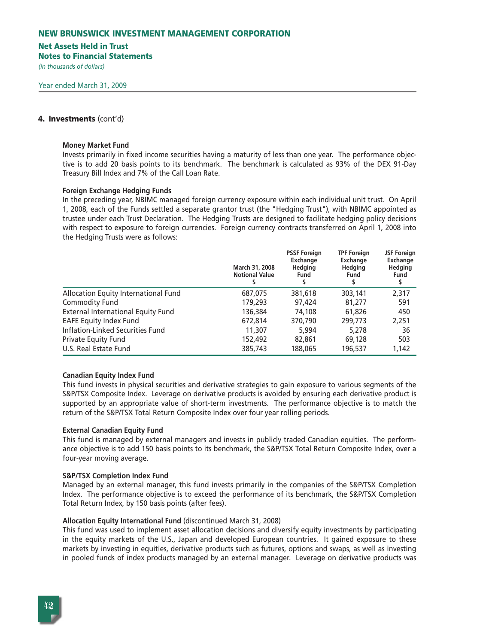#### **Net Assets Held in Trust**

**Notes to Financial Statements**

*(in thousands of dollars)* 

### **4. Investments** (cont'd)

#### **Money Market Fund**

Invests primarily in fixed income securities having a maturity of less than one year. The performance objective is to add 20 basis points to its benchmark. The benchmark is calculated as 93% of the DEX 91-Day Treasury Bill Index and 7% of the Call Loan Rate.

#### **Foreign Exchange Hedging Funds**

In the preceding year, NBIMC managed foreign currency exposure within each individual unit trust. On April 1, 2008, each of the Funds settled a separate grantor trust (the "Hedging Trust"), with NBIMC appointed as trustee under each Trust Declaration. The Hedging Trusts are designed to facilitate hedging policy decisions with respect to exposure to foreign currencies. Foreign currency contracts transferred on April 1, 2008 into the Hedging Trusts were as follows:

|                                      | March 31, 2008<br><b>Notional Value</b> | <b>PSSF Foreign</b><br>Exchange<br><b>Hedging</b><br><b>Fund</b> | <b>TPF Foreign</b><br>Exchange<br><b>Hedging</b><br>Fund | <b>JSF Foreign</b><br>Exchange<br><b>Hedging</b><br>Fund |
|--------------------------------------|-----------------------------------------|------------------------------------------------------------------|----------------------------------------------------------|----------------------------------------------------------|
| Allocation Equity International Fund | 687,075                                 | 381,618                                                          | 303,141                                                  | 2,317                                                    |
| <b>Commodity Fund</b>                | 179,293                                 | 97,424                                                           | 81,277                                                   | 591                                                      |
| External International Equity Fund   | 136,384                                 | 74,108                                                           | 61,826                                                   | 450                                                      |
| <b>EAFE Equity Index Fund</b>        | 672,814                                 | 370,790                                                          | 299,773                                                  | 2,251                                                    |
| Inflation-Linked Securities Fund     | 11,307                                  | 5.994                                                            | 5,278                                                    | 36                                                       |
| Private Equity Fund                  | 152,492                                 | 82,861                                                           | 69,128                                                   | 503                                                      |
| U.S. Real Estate Fund                | 385,743                                 | 188,065                                                          | 196,537                                                  | 1,142                                                    |

#### **Canadian Equity Index Fund**

This fund invests in physical securities and derivative strategies to gain exposure to various segments of the S&P/TSX Composite Index. Leverage on derivative products is avoided by ensuring each derivative product is supported by an appropriate value of short-term investments. The performance objective is to match the return of the S&P/TSX Total Return Composite Index over four year rolling periods.

#### **External Canadian Equity Fund**

This fund is managed by external managers and invests in publicly traded Canadian equities. The performance objective is to add 150 basis points to its benchmark, the S&P/TSX Total Return Composite Index, over a four-year moving average.

#### **S&P/TSX Completion Index Fund**

Managed by an external manager, this fund invests primarily in the companies of the S&P/TSX Completion Index. The performance objective is to exceed the performance of its benchmark, the S&P/TSX Completion Total Return Index, by 150 basis points (after fees).

#### **Allocation Equity International Fund** (discontinued March 31, 2008)

This fund was used to implement asset allocation decisions and diversify equity investments by participating in the equity markets of the U.S., Japan and developed European countries. It gained exposure to these markets by investing in equities, derivative products such as futures, options and swaps, as well as investing in pooled funds of index products managed by an external manager. Leverage on derivative products was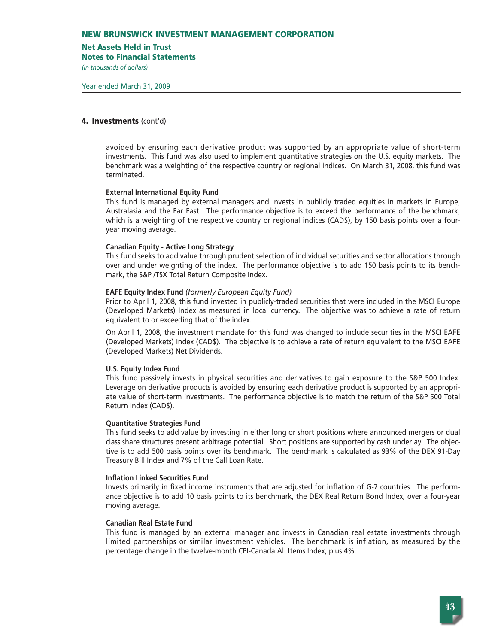#### **Net Assets Held in Trust**

**Notes to Financial Statements**

*(in thousands of dollars)* 

#### **4. Investments** (cont'd)

avoided by ensuring each derivative product was supported by an appropriate value of short-term investments. This fund was also used to implement quantitative strategies on the U.S. equity markets. The benchmark was a weighting of the respective country or regional indices. On March 31, 2008, this fund was terminated.

#### **External International Equity Fund**

This fund is managed by external managers and invests in publicly traded equities in markets in Europe, Australasia and the Far East. The performance objective is to exceed the performance of the benchmark, which is a weighting of the respective country or regional indices (CAD\$), by 150 basis points over a fouryear moving average.

#### **Canadian Equity - Active Long Strategy**

This fund seeks to add value through prudent selection of individual securities and sector allocations through over and under weighting of the index. The performance objective is to add 150 basis points to its benchmark, the S&P /TSX Total Return Composite Index.

#### **EAFE Equity Index Fund** *(formerly European Equity Fund)*

Prior to April 1, 2008, this fund invested in publicly-traded securities that were included in the MSCI Europe (Developed Markets) Index as measured in local currency. The objective was to achieve a rate of return equivalent to or exceeding that of the index.

On April 1, 2008, the investment mandate for this fund was changed to include securities in the MSCI EAFE (Developed Markets) Index (CAD\$). The objective is to achieve a rate of return equivalent to the MSCI EAFE (Developed Markets) Net Dividends.

#### **U.S. Equity Index Fund**

This fund passively invests in physical securities and derivatives to gain exposure to the S&P 500 Index. Leverage on derivative products is avoided by ensuring each derivative product is supported by an appropriate value of short-term investments. The performance objective is to match the return of the S&P 500 Total Return Index (CAD\$).

#### **Quantitative Strategies Fund**

This fund seeks to add value by investing in either long or short positions where announced mergers or dual class share structures present arbitrage potential. Short positions are supported by cash underlay. The objective is to add 500 basis points over its benchmark. The benchmark is calculated as 93% of the DEX 91-Day Treasury Bill Index and 7% of the Call Loan Rate.

#### **Inflation Linked Securities Fund**

Invests primarily in fixed income instruments that are adjusted for inflation of G-7 countries. The performance objective is to add 10 basis points to its benchmark, the DEX Real Return Bond Index, over a four-year moving average.

### **Canadian Real Estate Fund**

This fund is managed by an external manager and invests in Canadian real estate investments through limited partnerships or similar investment vehicles. The benchmark is inflation, as measured by the percentage change in the twelve-month CPI-Canada All Items Index, plus 4%.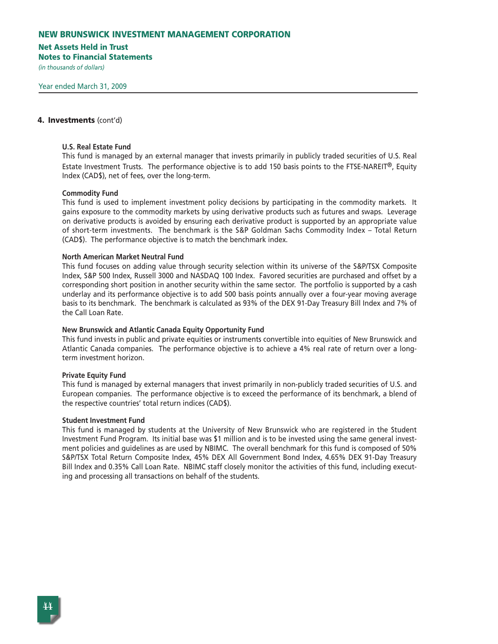#### **Net Assets Held in Trust**

**Notes to Financial Statements**

*(in thousands of dollars)* 

# **4. Investments** (cont'd)

#### **U.S. Real Estate Fund**

This fund is managed by an external manager that invests primarily in publicly traded securities of U.S. Real Estate Investment Trusts. The performance objective is to add 150 basis points to the FTSE-NAREIT®, Equity Index (CAD\$), net of fees, over the long-term.

#### **Commodity Fund**

This fund is used to implement investment policy decisions by participating in the commodity markets. It gains exposure to the commodity markets by using derivative products such as futures and swaps. Leverage on derivative products is avoided by ensuring each derivative product is supported by an appropriate value of short-term investments. The benchmark is the S&P Goldman Sachs Commodity Index – Total Return (CAD\$). The performance objective is to match the benchmark index.

#### **North American Market Neutral Fund**

This fund focuses on adding value through security selection within its universe of the S&P/TSX Composite Index, S&P 500 Index, Russell 3000 and NASDAQ 100 Index. Favored securities are purchased and offset by a corresponding short position in another security within the same sector. The portfolio is supported by a cash underlay and its performance objective is to add 500 basis points annually over a four-year moving average basis to its benchmark. The benchmark is calculated as 93% of the DEX 91-Day Treasury Bill Index and 7% of the Call Loan Rate.

#### **New Brunswick and Atlantic Canada Equity Opportunity Fund**

This fund invests in public and private equities or instruments convertible into equities of New Brunswick and Atlantic Canada companies. The performance objective is to achieve a 4% real rate of return over a longterm investment horizon.

#### **Private Equity Fund**

This fund is managed by external managers that invest primarily in non-publicly traded securities of U.S. and European companies. The performance objective is to exceed the performance of its benchmark, a blend of the respective countries' total return indices (CAD\$).

#### **Student Investment Fund**

This fund is managed by students at the University of New Brunswick who are registered in the Student Investment Fund Program. Its initial base was \$1 million and is to be invested using the same general investment policies and guidelines as are used by NBIMC. The overall benchmark for this fund is composed of 50% S&P/TSX Total Return Composite Index, 45% DEX All Government Bond Index, 4.65% DEX 91-Day Treasury Bill Index and 0.35% Call Loan Rate. NBIMC staff closely monitor the activities of this fund, including executing and processing all transactions on behalf of the students.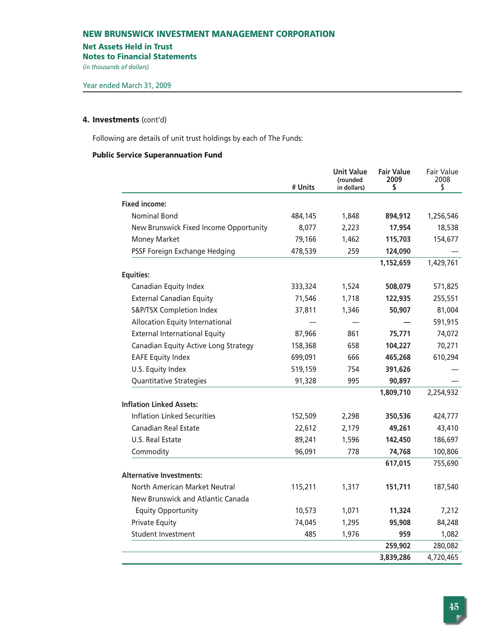#### **Net Assets Held in Trust**

**Notes to Financial Statements**

*(in thousands of dollars)* 

#### **4. Investments** (cont'd)

Following are details of unit trust holdings by each of The Funds:

#### **Public Service Superannuation Fund**

|                                        | # Units | <b>Unit Value</b><br>(rounded<br>in dollars) | <b>Fair Value</b><br>2009<br>\$ | Fair Value<br>2008<br>\$ |
|----------------------------------------|---------|----------------------------------------------|---------------------------------|--------------------------|
| <b>Fixed income:</b>                   |         |                                              |                                 |                          |
| <b>Nominal Bond</b>                    | 484,145 | 1,848                                        | 894,912                         | 1,256,546                |
| New Brunswick Fixed Income Opportunity | 8,077   | 2,223                                        | 17,954                          | 18,538                   |
| <b>Money Market</b>                    | 79,166  | 1,462                                        | 115,703                         | 154,677                  |
| PSSF Foreign Exchange Hedging          | 478,539 | 259                                          | 124,090                         |                          |
|                                        |         |                                              | 1,152,659                       | 1,429,761                |
| <b>Equities:</b>                       |         |                                              |                                 |                          |
| Canadian Equity Index                  | 333,324 | 1,524                                        | 508,079                         | 571,825                  |
| <b>External Canadian Equity</b>        | 71,546  | 1,718                                        | 122,935                         | 255,551                  |
| S&P/TSX Completion Index               | 37,811  | 1,346                                        | 50,907                          | 81,004                   |
| Allocation Equity International        |         |                                              |                                 | 591,915                  |
| <b>External International Equity</b>   | 87,966  | 861                                          | 75,771                          | 74,072                   |
| Canadian Equity Active Long Strategy   | 158,368 | 658                                          | 104,227                         | 70,271                   |
| <b>EAFE Equity Index</b>               | 699,091 | 666                                          | 465,268                         | 610,294                  |
| U.S. Equity Index                      | 519,159 | 754                                          | 391,626                         |                          |
| Quantitative Strategies                | 91,328  | 995                                          | 90,897                          |                          |
|                                        |         |                                              | 1,809,710                       | 2,254,932                |
| <b>Inflation Linked Assets:</b>        |         |                                              |                                 |                          |
| <b>Inflation Linked Securities</b>     | 152,509 | 2,298                                        | 350,536                         | 424,777                  |
| <b>Canadian Real Estate</b>            | 22,612  | 2,179                                        | 49,261                          | 43,410                   |
| U.S. Real Estate                       | 89,241  | 1,596                                        | 142,450                         | 186,697                  |
| Commodity                              | 96,091  | 778                                          | 74,768                          | 100,806                  |
|                                        |         |                                              | 617,015                         | 755,690                  |
| <b>Alternative Investments:</b>        |         |                                              |                                 |                          |
| North American Market Neutral          | 115,211 | 1,317                                        | 151,711                         | 187,540                  |
| New Brunswick and Atlantic Canada      |         |                                              |                                 |                          |
| <b>Equity Opportunity</b>              | 10,573  | 1,071                                        | 11,324                          | 7,212                    |
| <b>Private Equity</b>                  | 74,045  | 1,295                                        | 95,908                          | 84,248                   |
| <b>Student Investment</b>              | 485     | 1,976                                        | 959                             | 1,082                    |
|                                        |         |                                              | 259,902                         | 280,082                  |
|                                        |         |                                              | 3,839,286                       | 4,720,465                |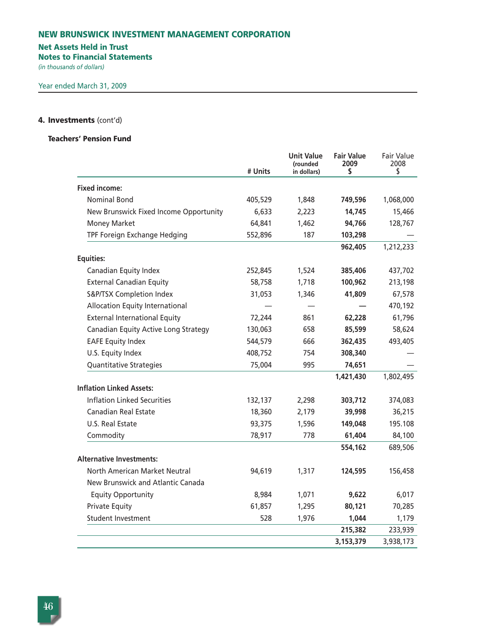# **Net Assets Held in Trust**

**Notes to Financial Statements**

*(in thousands of dollars)* 

# **4. Investments** (cont'd)

# **Teachers' Pension Fund**

|                                        | # Units | <b>Unit Value</b><br>(rounded<br>in dollars) | <b>Fair Value</b><br>2009<br>\$ | <b>Fair Value</b><br>2008<br>\$ |
|----------------------------------------|---------|----------------------------------------------|---------------------------------|---------------------------------|
| <b>Fixed income:</b>                   |         |                                              |                                 |                                 |
| <b>Nominal Bond</b>                    | 405,529 | 1,848                                        | 749,596                         | 1,068,000                       |
| New Brunswick Fixed Income Opportunity | 6,633   | 2,223                                        | 14,745                          | 15,466                          |
| <b>Money Market</b>                    | 64,841  | 1,462                                        | 94,766                          | 128,767                         |
| TPF Foreign Exchange Hedging           | 552,896 | 187                                          | 103,298                         |                                 |
|                                        |         |                                              | 962,405                         | 1,212,233                       |
| <b>Equities:</b>                       |         |                                              |                                 |                                 |
| Canadian Equity Index                  | 252,845 | 1,524                                        | 385,406                         | 437,702                         |
| <b>External Canadian Equity</b>        | 58,758  | 1,718                                        | 100,962                         | 213,198                         |
| S&P/TSX Completion Index               | 31,053  | 1,346                                        | 41,809                          | 67,578                          |
| <b>Allocation Equity International</b> |         |                                              |                                 | 470,192                         |
| <b>External International Equity</b>   | 72,244  | 861                                          | 62,228                          | 61,796                          |
| Canadian Equity Active Long Strategy   | 130,063 | 658                                          | 85,599                          | 58,624                          |
| <b>EAFE Equity Index</b>               | 544,579 | 666                                          | 362,435                         | 493,405                         |
| U.S. Equity Index                      | 408,752 | 754                                          | 308,340                         |                                 |
| Quantitative Strategies                | 75,004  | 995                                          | 74,651                          |                                 |
|                                        |         |                                              | 1,421,430                       | 1,802,495                       |
| <b>Inflation Linked Assets:</b>        |         |                                              |                                 |                                 |
| <b>Inflation Linked Securities</b>     | 132,137 | 2,298                                        | 303,712                         | 374,083                         |
| <b>Canadian Real Estate</b>            | 18,360  | 2,179                                        | 39,998                          | 36,215                          |
| U.S. Real Estate                       | 93,375  | 1,596                                        | 149,048                         | 195.108                         |
| Commodity                              | 78,917  | 778                                          | 61,404                          | 84,100                          |
|                                        |         |                                              | 554,162                         | 689,506                         |
| <b>Alternative Investments:</b>        |         |                                              |                                 |                                 |
| North American Market Neutral          | 94,619  | 1,317                                        | 124,595                         | 156,458                         |
| New Brunswick and Atlantic Canada      |         |                                              |                                 |                                 |
| <b>Equity Opportunity</b>              | 8,984   | 1,071                                        | 9,622                           | 6,017                           |
| <b>Private Equity</b>                  | 61,857  | 1,295                                        | 80,121                          | 70,285                          |
| <b>Student Investment</b>              | 528     | 1,976                                        | 1,044                           | 1,179                           |
|                                        |         |                                              | 215,382                         | 233,939                         |
|                                        |         |                                              | 3,153,379                       | 3,938,173                       |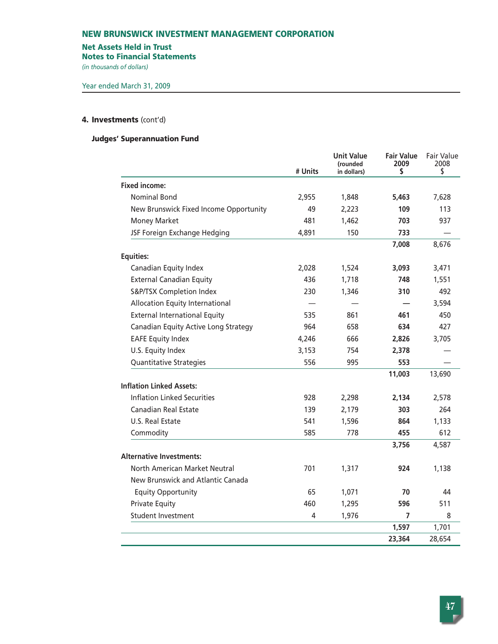# **Net Assets Held in Trust**

**Notes to Financial Statements**

*(in thousands of dollars)* 

# **4. Investments** (cont'd)

# **Judges' Superannuation Fund**

|                                        | # Units | <b>Unit Value</b><br>(rounded<br>in dollars) | <b>Fair Value</b><br>2009<br>\$ | <b>Fair Value</b><br>2008<br>\$ |
|----------------------------------------|---------|----------------------------------------------|---------------------------------|---------------------------------|
| <b>Fixed income:</b>                   |         |                                              |                                 |                                 |
| <b>Nominal Bond</b>                    | 2,955   | 1,848                                        | 5,463                           | 7,628                           |
| New Brunswick Fixed Income Opportunity | 49      | 2,223                                        | 109                             | 113                             |
| <b>Money Market</b>                    | 481     | 1,462                                        | 703                             | 937                             |
| JSF Foreign Exchange Hedging           | 4,891   | 150                                          | 733                             |                                 |
|                                        |         |                                              | 7,008                           | 8,676                           |
| <b>Equities:</b>                       |         |                                              |                                 |                                 |
| Canadian Equity Index                  | 2,028   | 1,524                                        | 3,093                           | 3,471                           |
| <b>External Canadian Equity</b>        | 436     | 1,718                                        | 748                             | 1,551                           |
| S&P/TSX Completion Index               | 230     | 1,346                                        | 310                             | 492                             |
| Allocation Equity International        |         |                                              |                                 | 3,594                           |
| <b>External International Equity</b>   | 535     | 861                                          | 461                             | 450                             |
| Canadian Equity Active Long Strategy   | 964     | 658                                          | 634                             | 427                             |
| <b>EAFE Equity Index</b>               | 4,246   | 666                                          | 2,826                           | 3,705                           |
| U.S. Equity Index                      | 3,153   | 754                                          | 2,378                           |                                 |
| <b>Quantitative Strategies</b>         | 556     | 995                                          | 553                             |                                 |
|                                        |         |                                              | 11,003                          | 13,690                          |
| <b>Inflation Linked Assets:</b>        |         |                                              |                                 |                                 |
| <b>Inflation Linked Securities</b>     | 928     | 2,298                                        | 2,134                           | 2,578                           |
| Canadian Real Estate                   | 139     | 2,179                                        | 303                             | 264                             |
| U.S. Real Estate                       | 541     | 1,596                                        | 864                             | 1,133                           |
| Commodity                              | 585     | 778                                          | 455                             | 612                             |
| <b>Alternative Investments:</b>        |         |                                              | 3,756                           | 4,587                           |
| North American Market Neutral          | 701     | 1,317                                        | 924                             | 1,138                           |
| New Brunswick and Atlantic Canada      |         |                                              |                                 |                                 |
| <b>Equity Opportunity</b>              | 65      | 1,071                                        | 70                              | 44                              |
| <b>Private Equity</b>                  | 460     | 1,295                                        | 596                             | 511                             |
| <b>Student Investment</b>              |         |                                              | 7                               |                                 |
|                                        | 4       | 1,976                                        | 1,597                           | 8<br>1,701                      |
|                                        |         |                                              | 23,364                          | 28,654                          |
|                                        |         |                                              |                                 |                                 |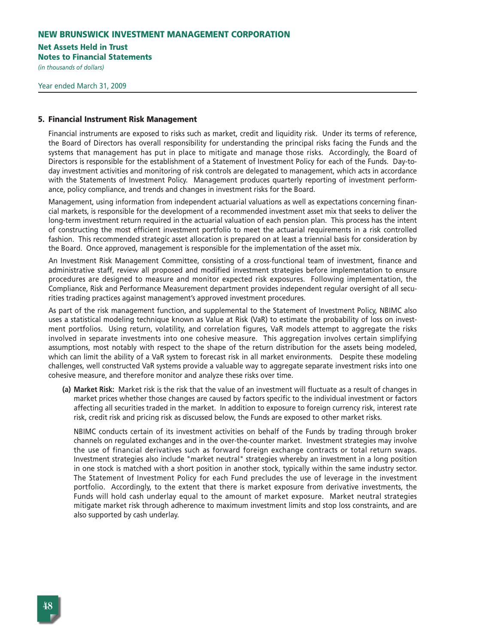# **Net Assets Held in Trust**

**Notes to Financial Statements**

*(in thousands of dollars)* 

#### **5. Financial Instrument Risk Management**

Financial instruments are exposed to risks such as market, credit and liquidity risk. Under its terms of reference, the Board of Directors has overall responsibility for understanding the principal risks facing the Funds and the systems that management has put in place to mitigate and manage those risks. Accordingly, the Board of Directors is responsible for the establishment of a Statement of Investment Policy for each of the Funds. Day-today investment activities and monitoring of risk controls are delegated to management, which acts in accordance with the Statements of Investment Policy. Management produces quarterly reporting of investment performance, policy compliance, and trends and changes in investment risks for the Board.

Management, using information from independent actuarial valuations as well as expectations concerning financial markets, is responsible for the development of a recommended investment asset mix that seeks to deliver the long-term investment return required in the actuarial valuation of each pension plan. This process has the intent of constructing the most efficient investment portfolio to meet the actuarial requirements in a risk controlled fashion. This recommended strategic asset allocation is prepared on at least a triennial basis for consideration by the Board. Once approved, management is responsible for the implementation of the asset mix.

An Investment Risk Management Committee, consisting of a cross-functional team of investment, finance and administrative staff, review all proposed and modified investment strategies before implementation to ensure procedures are designed to measure and monitor expected risk exposures. Following implementation, the Compliance, Risk and Performance Measurement department provides independent regular oversight of all securities trading practices against management's approved investment procedures.

As part of the risk management function, and supplemental to the Statement of Investment Policy, NBIMC also uses a statistical modeling technique known as Value at Risk (VaR) to estimate the probability of loss on investment portfolios. Using return, volatility, and correlation figures, VaR models attempt to aggregate the risks involved in separate investments into one cohesive measure. This aggregation involves certain simplifying assumptions, most notably with respect to the shape of the return distribution for the assets being modeled, which can limit the ability of a VaR system to forecast risk in all market environments. Despite these modeling challenges, well constructed VaR systems provide a valuable way to aggregate separate investment risks into one cohesive measure, and therefore monitor and analyze these risks over time.

**(a) Market Risk:** Market risk is the risk that the value of an investment will fluctuate as a result of changes in market prices whether those changes are caused by factors specific to the individual investment or factors affecting all securities traded in the market. In addition to exposure to foreign currency risk, interest rate risk, credit risk and pricing risk as discussed below, the Funds are exposed to other market risks.

NBIMC conducts certain of its investment activities on behalf of the Funds by trading through broker channels on regulated exchanges and in the over-the-counter market. Investment strategies may involve the use of financial derivatives such as forward foreign exchange contracts or total return swaps. Investment strategies also include "market neutral" strategies whereby an investment in a long position in one stock is matched with a short position in another stock, typically within the same industry sector. The Statement of Investment Policy for each Fund precludes the use of leverage in the investment portfolio. Accordingly, to the extent that there is market exposure from derivative investments, the Funds will hold cash underlay equal to the amount of market exposure. Market neutral strategies mitigate market risk through adherence to maximum investment limits and stop loss constraints, and are also supported by cash underlay.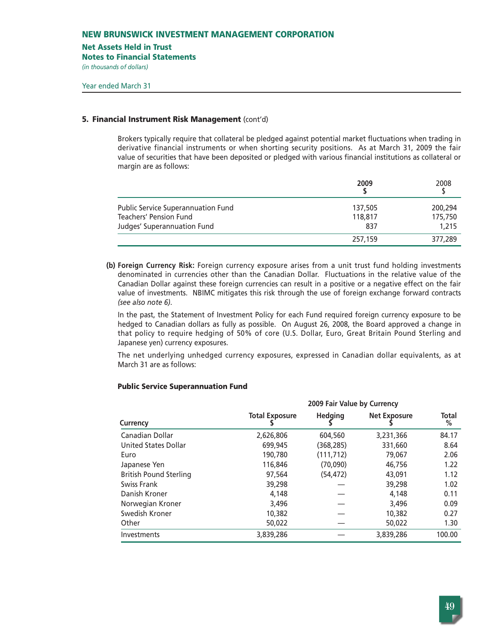### **Net Assets Held in Trust**

**Notes to Financial Statements**

*(in thousands of dollars)* 

# **5. Financial Instrument Risk Management** (cont'd)

Brokers typically require that collateral be pledged against potential market fluctuations when trading in derivative financial instruments or when shorting security positions. As at March 31, 2009 the fair value of securities that have been deposited or pledged with various financial institutions as collateral or margin are as follows:

|                                    | 2009    | 2008    |
|------------------------------------|---------|---------|
| Public Service Superannuation Fund | 137,505 | 200,294 |
| Teachers' Pension Fund             | 118,817 | 175,750 |
| Judges' Superannuation Fund        | 837     | 1,215   |
|                                    | 257,159 | 377,289 |

**(b) Foreign Currency Risk:** Foreign currency exposure arises from a unit trust fund holding investments denominated in currencies other than the Canadian Dollar. Fluctuations in the relative value of the Canadian Dollar against these foreign currencies can result in a positive or a negative effect on the fair value of investments. NBIMC mitigates this risk through the use of foreign exchange forward contracts *(see also note 6)*.

In the past, the Statement of Investment Policy for each Fund required foreign currency exposure to be hedged to Canadian dollars as fully as possible. On August 26, 2008, the Board approved a change in that policy to require hedging of 50% of core (U.S. Dollar, Euro, Great Britain Pound Sterling and Japanese yen) currency exposures.

The net underlying unhedged currency exposures, expressed in Canadian dollar equivalents, as at March 31 are as follows:

# **Public Service Superannuation Fund**

|                               | 2009 Fair Value by Currency |                |                     |            |
|-------------------------------|-----------------------------|----------------|---------------------|------------|
| Currency                      | <b>Total Exposure</b>       | <b>Hedging</b> | <b>Net Exposure</b> | Total<br>% |
| Canadian Dollar               | 2,626,806                   | 604,560        | 3,231,366           | 84.17      |
| United States Dollar          | 699,945                     | (368,285)      | 331,660             | 8.64       |
| Euro                          | 190,780                     | (111,712)      | 79,067              | 2.06       |
| Japanese Yen                  | 116,846                     | (70,090)       | 46,756              | 1.22       |
| <b>British Pound Sterling</b> | 97,564                      | (54, 472)      | 43.091              | 1.12       |
| Swiss Frank                   | 39,298                      |                | 39,298              | 1.02       |
| Danish Kroner                 | 4.148                       |                | 4.148               | 0.11       |
| Norwegian Kroner              | 3,496                       |                | 3,496               | 0.09       |
| Swedish Kroner                | 10,382                      |                | 10,382              | 0.27       |
| Other                         | 50,022                      |                | 50,022              | 1.30       |
| Investments                   | 3,839,286                   |                | 3,839,286           | 100.00     |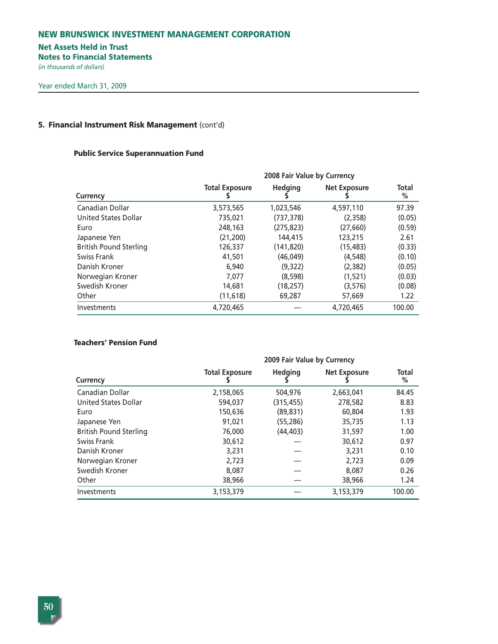# **Net Assets Held in Trust**

**Notes to Financial Statements**

*(in thousands of dollars)* 

# **5. Financial Instrument Risk Management** (cont'd)

# **Public Service Superannuation Fund**

| Currency                      |                       | 2008 Fair Value by Currency |                     |            |  |
|-------------------------------|-----------------------|-----------------------------|---------------------|------------|--|
|                               | <b>Total Exposure</b> | <b>Hedging</b>              | <b>Net Exposure</b> | Total<br>% |  |
| Canadian Dollar               | 3,573,565             | 1,023,546                   | 4,597,110           | 97.39      |  |
| United States Dollar          | 735,021               | (737, 378)                  | (2,358)             | (0.05)     |  |
| Euro                          | 248,163               | (275, 823)                  | (27,660)            | (0.59)     |  |
| Japanese Yen                  | (21, 200)             | 144,415                     | 123,215             | 2.61       |  |
| <b>British Pound Sterling</b> | 126,337               | (141, 820)                  | (15, 483)           | (0.33)     |  |
| Swiss Frank                   | 41,501                | (46,049)                    | (4, 548)            | (0.10)     |  |
| Danish Kroner                 | 6,940                 | (9,322)                     | (2, 382)            | (0.05)     |  |
| Norwegian Kroner              | 7,077                 | (8,598)                     | (1,521)             | (0.03)     |  |
| Swedish Kroner                | 14,681                | (18, 257)                   | (3, 576)            | (0.08)     |  |
| Other                         | (11, 618)             | 69,287                      | 57,669              | 1.22       |  |
| Investments                   | 4,720,465             |                             | 4,720,465           | 100.00     |  |

# **Teachers' Pension Fund**

|                               | 2009 Fair Value by Currency |                |                     |            |  |
|-------------------------------|-----------------------------|----------------|---------------------|------------|--|
| Currency                      | <b>Total Exposure</b>       | <b>Hedging</b> | <b>Net Exposure</b> | Total<br>% |  |
| Canadian Dollar               | 2,158,065                   | 504,976        | 2,663,041           | 84.45      |  |
| United States Dollar          | 594,037                     | (315, 455)     | 278,582             | 8.83       |  |
| Euro                          | 150,636                     | (89, 831)      | 60,804              | 1.93       |  |
| Japanese Yen                  | 91,021                      | (55, 286)      | 35,735              | 1.13       |  |
| <b>British Pound Sterling</b> | 76,000                      | (44, 403)      | 31,597              | 1.00       |  |
| Swiss Frank                   | 30,612                      |                | 30,612              | 0.97       |  |
| Danish Kroner                 | 3,231                       |                | 3,231               | 0.10       |  |
| Norwegian Kroner              | 2,723                       |                | 2,723               | 0.09       |  |
| Swedish Kroner                | 8,087                       |                | 8,087               | 0.26       |  |
| Other                         | 38,966                      |                | 38,966              | 1.24       |  |
| Investments                   | 3,153,379                   |                | 3,153,379           | 100.00     |  |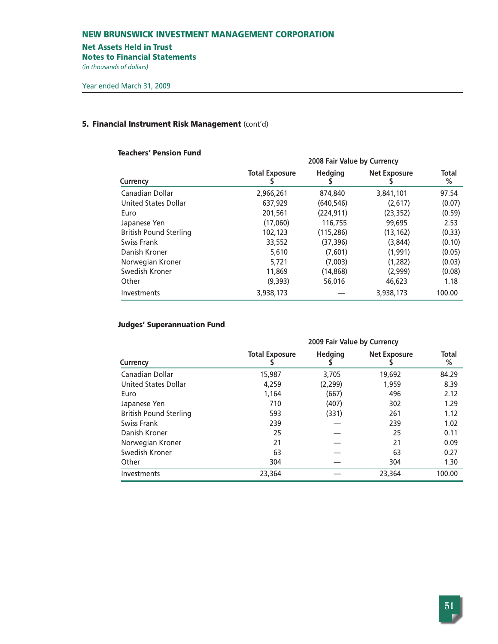### **Net Assets Held in Trust**

**Notes to Financial Statements**

*(in thousands of dollars)* 

# **5. Financial Instrument Risk Management** (cont'd)

# **Teachers' Pension Fund**

|                               |                       | 2008 Fair Value by Currency |                     |            |
|-------------------------------|-----------------------|-----------------------------|---------------------|------------|
| Currency                      | <b>Total Exposure</b> | <b>Hedging</b>              | <b>Net Exposure</b> | Total<br>% |
| Canadian Dollar               | 2,966,261             | 874,840                     | 3,841,101           | 97.54      |
| United States Dollar          | 637,929               | (640, 546)                  | (2.617)             | (0.07)     |
| Euro                          | 201,561               | (224, 911)                  | (23, 352)           | (0.59)     |
| Japanese Yen                  | (17,060)              | 116,755                     | 99,695              | 2.53       |
| <b>British Pound Sterling</b> | 102,123               | (115, 286)                  | (13, 162)           | (0.33)     |
| Swiss Frank                   | 33,552                | (37,396)                    | (3,844)             | (0.10)     |
| Danish Kroner                 | 5,610                 | (7,601)                     | (1,991)             | (0.05)     |
| Norwegian Kroner              | 5.721                 | (7,003)                     | (1,282)             | (0.03)     |
| Swedish Kroner                | 11,869                | (14, 868)                   | (2,999)             | (0.08)     |
| Other                         | (9,393)               | 56,016                      | 46,623              | 1.18       |
| Investments                   | 3,938,173             |                             | 3,938,173           | 100.00     |

# **Judges' Superannuation Fund**

|                               | 2009 Fair Value by Currency |                |                     |            |  |  |  |
|-------------------------------|-----------------------------|----------------|---------------------|------------|--|--|--|
| Currency                      | <b>Total Exposure</b>       | <b>Hedging</b> | <b>Net Exposure</b> | Total<br>% |  |  |  |
| Canadian Dollar               | 15,987                      | 3,705          | 19,692              | 84.29      |  |  |  |
| United States Dollar          | 4,259                       | (2, 299)       | 1,959               | 8.39       |  |  |  |
| Euro                          | 1.164                       | (667)          | 496                 | 2.12       |  |  |  |
| Japanese Yen                  | 710                         | (407)          | 302                 | 1.29       |  |  |  |
| <b>British Pound Sterling</b> | 593                         | (331)          | 261                 | 1.12       |  |  |  |
| Swiss Frank                   | 239                         |                | 239                 | 1.02       |  |  |  |
| Danish Kroner                 | 25                          |                | 25                  | 0.11       |  |  |  |
| Norwegian Kroner              | 21                          |                | 21                  | 0.09       |  |  |  |
| Swedish Kroner                | 63                          |                | 63                  | 0.27       |  |  |  |
| Other                         | 304                         |                | 304                 | 1.30       |  |  |  |
| Investments                   | 23,364                      |                | 23,364              | 100.00     |  |  |  |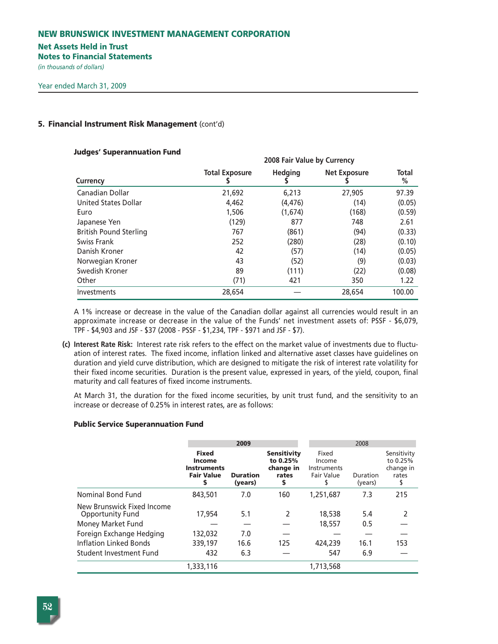# **Net Assets Held in Trust**

**Notes to Financial Statements**

*(in thousands of dollars)* 

# **5. Financial Instrument Risk Management** (cont'd)

# **Judges' Superannuation Fund**

|                               | zuus Fair value by Currency |                |                     |            |  |  |  |  |
|-------------------------------|-----------------------------|----------------|---------------------|------------|--|--|--|--|
| Currency                      | <b>Total Exposure</b>       | <b>Hedging</b> | <b>Net Exposure</b> | Total<br>℅ |  |  |  |  |
| Canadian Dollar               | 21,692                      | 6,213          | 27,905              | 97.39      |  |  |  |  |
| United States Dollar          | 4,462                       | (4, 476)       | (14)                | (0.05)     |  |  |  |  |
| Euro                          | 1,506                       | (1,674)        | (168)               | (0.59)     |  |  |  |  |
| Japanese Yen                  | (129)                       | 877            | 748                 | 2.61       |  |  |  |  |
| <b>British Pound Sterling</b> | 767                         | (861)          | (94)                | (0.33)     |  |  |  |  |
| Swiss Frank                   | 252                         | (280)          | (28)                | (0.10)     |  |  |  |  |
| Danish Kroner                 | 42                          | (57)           | (14)                | (0.05)     |  |  |  |  |
| Norwegian Kroner              | 43                          | (52)           | (9)                 | (0.03)     |  |  |  |  |
| Swedish Kroner                | 89                          | (111)          | (22)                | (0.08)     |  |  |  |  |
| Other                         | (71)                        | 421            | 350                 | 1.22       |  |  |  |  |
| Investments                   | 28.654                      |                | 28.654              | 100.00     |  |  |  |  |

**2008 Fair Value by Currency**

A 1% increase or decrease in the value of the Canadian dollar against all currencies would result in an approximate increase or decrease in the value of the Funds' net investment assets of: PSSF - \$6,079, TPF - \$4,903 and JSF - \$37 (2008 - PSSF - \$1,234, TPF - \$971 and JSF - \$7).

**(c) Interest Rate Risk:** Interest rate risk refers to the effect on the market value of investments due to fluctuation of interest rates. The fixed income, inflation linked and alternative asset classes have guidelines on duration and yield curve distribution, which are designed to mitigate the risk of interest rate volatility for their fixed income securities. Duration is the present value, expressed in years, of the yield, coupon, final maturity and call features of fixed income instruments.

At March 31, the duration for the fixed income securities, by unit trust fund, and the sensitivity to an increase or decrease of 0.25% in interest rates, are as follows:

# **Public Service Superannuation Fund**

|                                                                            |                                                                        | 2009                       |                                                           |                                                     | 2008                |                                               |  |  |
|----------------------------------------------------------------------------|------------------------------------------------------------------------|----------------------------|-----------------------------------------------------------|-----------------------------------------------------|---------------------|-----------------------------------------------|--|--|
|                                                                            | <b>Fixed</b><br>Income<br><b>Instruments</b><br><b>Fair Value</b><br>s | <b>Duration</b><br>(years) | <b>Sensitivity</b><br>to 0.25%<br>change in<br>rates<br>S | Fixed<br>Income<br>Instruments<br><b>Fair Value</b> | Duration<br>(years) | Sensitivity<br>to 0.25%<br>change in<br>rates |  |  |
| Nominal Bond Fund                                                          | 843,501                                                                | 7.0                        | 160                                                       | 1,251,687                                           | 7.3                 | 215                                           |  |  |
| New Brunswick Fixed Income<br><b>Opportunity Fund</b><br>Money Market Fund | 17,954                                                                 | 5.1                        | 2                                                         | 18,538<br>18,557                                    | 5.4<br>0.5          |                                               |  |  |
| Foreign Exchange Hedging                                                   | 132,032                                                                | 7.0                        |                                                           |                                                     |                     |                                               |  |  |
| Inflation Linked Bonds                                                     | 339,197                                                                | 16.6                       | 125                                                       | 424,239                                             | 16.1                | 153                                           |  |  |
| Student Investment Fund                                                    | 432                                                                    | 6.3                        |                                                           | 547                                                 | 6.9                 |                                               |  |  |
|                                                                            | 1,333,116                                                              |                            |                                                           | 1,713,568                                           |                     |                                               |  |  |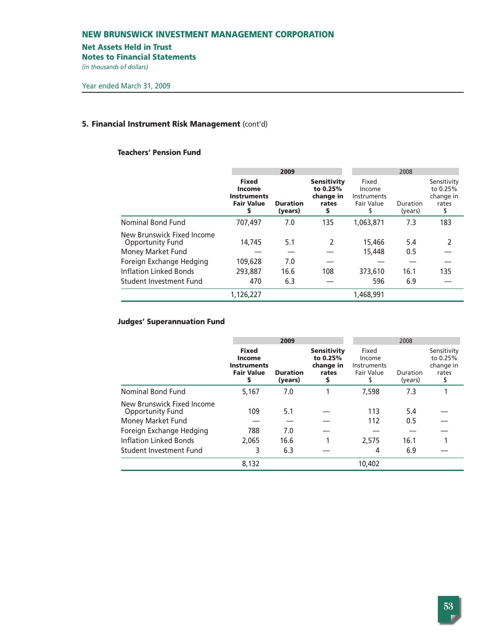# **Net Assets Held in Trust**

**Notes to Financial Statements**

*(in thousands of dollars)* 

# **5. Financial Instrument Risk Management** (cont'd)

# **Teachers' Pension Fund**

|                                                                     |                                                                                | 2009                       |                                                            |                                              | 2008                |                                                     |  |  |
|---------------------------------------------------------------------|--------------------------------------------------------------------------------|----------------------------|------------------------------------------------------------|----------------------------------------------|---------------------|-----------------------------------------------------|--|--|
|                                                                     | <b>Fixed</b><br><b>Income</b><br><b>Instruments</b><br><b>Fair Value</b><br>\$ | <b>Duration</b><br>(years) | <b>Sensitivity</b><br>to 0.25%<br>change in<br>rates<br>\$ | Fixed<br>Income<br>Instruments<br>Fair Value | Duration<br>(years) | Sensitivity<br>to 0.25%<br>change in<br>rates<br>\$ |  |  |
| Nominal Bond Fund                                                   | 707,497                                                                        | 7.0                        | 135                                                        | 1,063,871                                    | 7.3                 | 183                                                 |  |  |
| New Brunswick Fixed Income<br>Opportunity Fund<br>Money Market Fund | 14.745                                                                         | 5.1                        | 2                                                          | 15,466<br>15,448                             | 5.4<br>0.5          | $\mathcal{P}$                                       |  |  |
| Foreign Exchange Hedging                                            | 109,628                                                                        | 7.0                        |                                                            |                                              |                     |                                                     |  |  |
| Inflation Linked Bonds                                              | 293,887                                                                        | 16.6                       | 108                                                        | 373,610                                      | 16.1                | 135                                                 |  |  |
| Student Investment Fund                                             | 470                                                                            | 6.3                        |                                                            | 596                                          | 6.9                 |                                                     |  |  |
|                                                                     | 1,126,227                                                                      |                            |                                                            | 1,468,991                                    |                     |                                                     |  |  |

# **Judges' Superannuation Fund**

|                                                       |                                                                               | 2009                       |                                                           |                                                     | 2008                |                                               |  |
|-------------------------------------------------------|-------------------------------------------------------------------------------|----------------------------|-----------------------------------------------------------|-----------------------------------------------------|---------------------|-----------------------------------------------|--|
|                                                       | <b>Fixed</b><br><b>Income</b><br><b>Instruments</b><br><b>Fair Value</b><br>5 | <b>Duration</b><br>(years) | <b>Sensitivity</b><br>to 0.25%<br>change in<br>rates<br>S | Fixed<br>Income<br>Instruments<br><b>Fair Value</b> | Duration<br>(years) | Sensitivity<br>to 0.25%<br>change in<br>rates |  |
| Nominal Bond Fund                                     | 5,167                                                                         | 7.0                        |                                                           | 7.598                                               | 7.3                 |                                               |  |
| New Brunswick Fixed Income<br><b>Opportunity Fund</b> | 109                                                                           | 5.1                        |                                                           | 113                                                 | 5.4                 |                                               |  |
| Money Market Fund                                     |                                                                               |                            |                                                           | 112                                                 | 0.5                 |                                               |  |
| Foreign Exchange Hedging                              | 788                                                                           | 7.0                        |                                                           |                                                     |                     |                                               |  |
| Inflation Linked Bonds                                | 2.065                                                                         | 16.6                       |                                                           | 2,575                                               | 16.1                |                                               |  |
| Student Investment Fund                               | 3                                                                             | 6.3                        |                                                           | 4                                                   | 6.9                 |                                               |  |
|                                                       | 8,132                                                                         |                            |                                                           | 10,402                                              |                     |                                               |  |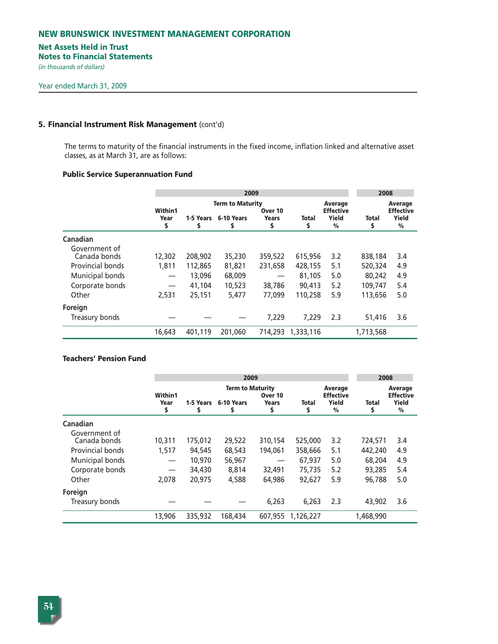# **Net Assets Held in Trust**

**Notes to Financial Statements**

*(in thousands of dollars)* 

#### **5. Financial Instrument Risk Management** (cont'd)

The terms to maturity of the financial instruments in the fixed income, inflation linked and alternative asset classes, as at March 31, are as follows:

# **Public Service Superannuation Fund**

|                         |                       |                | 2009                                        |                               |             |                                                       | 2008        |                                                              |
|-------------------------|-----------------------|----------------|---------------------------------------------|-------------------------------|-------------|-------------------------------------------------------|-------------|--------------------------------------------------------------|
|                         | Within1<br>Year<br>\$ | 1-5 Years<br>s | <b>Term to Maturity</b><br>6-10 Years<br>\$ | Over 10<br><b>Years</b><br>\$ | Total<br>\$ | Average<br><b>Effective</b><br>Yield<br>$\frac{0}{0}$ | Total<br>\$ | <b>Average</b><br><b>Effective</b><br>Yield<br>$\frac{0}{0}$ |
| Canadian                |                       |                |                                             |                               |             |                                                       |             |                                                              |
| Government of           |                       |                |                                             |                               |             |                                                       |             |                                                              |
| Canada bonds            | 12,302                | 208,902        | 35,230                                      | 359,522                       | 615,956     | 3.2                                                   | 838,184     | 3.4                                                          |
| <b>Provincial bonds</b> | 1.811                 | 112,865        | 81,821                                      | 231,658                       | 428,155     | 5.1                                                   | 520,324     | 4.9                                                          |
| Municipal bonds         |                       | 13,096         | 68,009                                      |                               | 81,105      | 5.0                                                   | 80,242      | 4.9                                                          |
| Corporate bonds         | $\hspace{0.05cm}$     | 41,104         | 10,523                                      | 38,786                        | 90,413      | 5.2                                                   | 109,747     | 5.4                                                          |
| Other                   | 2,531                 | 25,151         | 5,477                                       | 77,099                        | 110,258     | 5.9                                                   | 113,656     | 5.0                                                          |
| Foreign                 |                       |                |                                             |                               |             |                                                       |             |                                                              |
| Treasury bonds          |                       |                |                                             | 7.229                         | 7.229       | 2.3                                                   | 51,416      | 3.6                                                          |
|                         | 16,643                | 401,119        | 201,060                                     | 714,293                       | 1,333,116   |                                                       | 1,713,568   |                                                              |

# **Teachers' Pension Fund**

|                               |                        |           |                                       | 2008                    |           |                                      |           |                                             |
|-------------------------------|------------------------|-----------|---------------------------------------|-------------------------|-----------|--------------------------------------|-----------|---------------------------------------------|
|                               | <b>Within1</b><br>Year | 1-5 Years | <b>Term to Maturity</b><br>6-10 Years | Over 10<br><b>Years</b> | Total     | Average<br><b>Effective</b><br>Yield | Total     | <b>Average</b><br><b>Effective</b><br>Yield |
|                               | \$                     | \$        | S                                     | \$                      | \$        | $\frac{0}{0}$                        | s         | $\frac{0}{0}$                               |
| Canadian                      |                        |           |                                       |                         |           |                                      |           |                                             |
| Government of<br>Canada bonds | 10,311                 | 175,012   | 29,522                                | 310,154                 | 525,000   | 3.2                                  | 724,571   | 3.4                                         |
| <b>Provincial bonds</b>       | 1.517                  | 94,545    | 68,543                                | 194,061                 | 358,666   | 5.1                                  | 442,240   | 4.9                                         |
| Municipal bonds               |                        | 10,970    | 56,967                                |                         | 67,937    | 5.0                                  | 68,204    | 4.9                                         |
| Corporate bonds               |                        | 34,430    | 8.814                                 | 32,491                  | 75,735    | 5.2                                  | 93,285    | 5.4                                         |
| Other                         | 2.078                  | 20,975    | 4,588                                 | 64,986                  | 92,627    | 5.9                                  | 96,788    | 5.0                                         |
| Foreign                       |                        |           |                                       |                         |           |                                      |           |                                             |
| Treasury bonds                |                        |           |                                       | 6,263                   | 6.263     | 2.3                                  | 43,902    | 3.6                                         |
|                               | 13,906                 | 335,932   | 168,434                               | 607.955                 | 1,126,227 |                                      | 1,468,990 |                                             |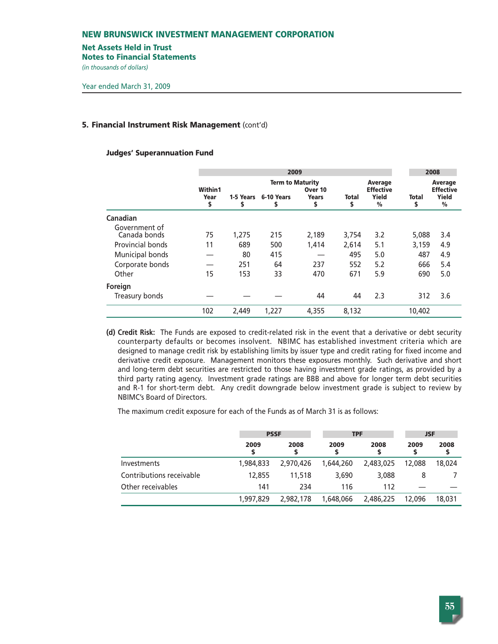#### **Net Assets Held in Trust**

**Notes to Financial Statements**

*(in thousands of dollars)* 

# **5. Financial Instrument Risk Management** (cont'd)

#### **Judges' Superannuation Fund**

|                               |            |                | 2009                    |                    |             |                             | 2008              |                             |
|-------------------------------|------------|----------------|-------------------------|--------------------|-------------|-----------------------------|-------------------|-----------------------------|
|                               | Within1    |                | <b>Term to Maturity</b> | Over 10            |             | Average<br><b>Effective</b> |                   | Average<br><b>Effective</b> |
|                               | Year<br>\$ | 1-5 Years<br>s | 6-10 Years<br>s         | <b>Years</b><br>\$ | Total<br>\$ | Yield<br>$\frac{0}{0}$      | <b>Total</b><br>S | Yield<br>$\frac{0}{0}$      |
| Canadian                      |            |                |                         |                    |             |                             |                   |                             |
| Government of<br>Canada bonds | 75         | 1,275          | 215                     | 2,189              | 3,754       | 3.2                         | 5,088             | 3.4                         |
| Provincial bonds              | 11         | 689            | 500                     | 1,414              | 2,614       | 5.1                         | 3,159             | 4.9                         |
| Municipal bonds               |            | 80             | 415                     |                    | 495         | 5.0                         | 487               | 4.9                         |
| Corporate bonds               |            | 251            | 64                      | 237                | 552         | 5.2                         | 666               | 5.4                         |
| Other                         | 15         | 153            | 33                      | 470                | 671         | 5.9                         | 690               | 5.0                         |
| Foreign                       |            |                |                         |                    |             |                             |                   |                             |
| Treasury bonds                |            |                |                         | 44                 | 44          | 2.3                         | 312               | 3.6                         |
|                               | 102        | 2,449          | 1.227                   | 4,355              | 8,132       |                             | 10,402            |                             |

**(d) Credit Risk:** The Funds are exposed to credit-related risk in the event that a derivative or debt security counterparty defaults or becomes insolvent. NBIMC has established investment criteria which are designed to manage credit risk by establishing limits by issuer type and credit rating for fixed income and derivative credit exposure. Management monitors these exposures monthly. Such derivative and short and long-term debt securities are restricted to those having investment grade ratings, as provided by a third party rating agency. Investment grade ratings are BBB and above for longer term debt securities and R-1 for short-term debt. Any credit downgrade below investment grade is subject to review by NBIMC's Board of Directors.

The maximum credit exposure for each of the Funds as of March 31 is as follows:

|                          | <b>PSSF</b> |            | <b>TPF</b> |           |        | <b>JSF</b> |  |
|--------------------------|-------------|------------|------------|-----------|--------|------------|--|
|                          | 2009        | 2008<br>\$ | 2009       | 2008      | 2009   | 2008<br>s  |  |
| Investments              | 1,984,833   | 2,970,426  | 1,644,260  | 2,483,025 | 12,088 | 18,024     |  |
| Contributions receivable | 12,855      | 11,518     | 3,690      | 3,088     | 8      |            |  |
| Other receivables        | 141         | 234        | 116        | 112       |        |            |  |
|                          | 1,997,829   | 2,982,178  | 1,648,066  | 2,486,225 | 12,096 | 18,031     |  |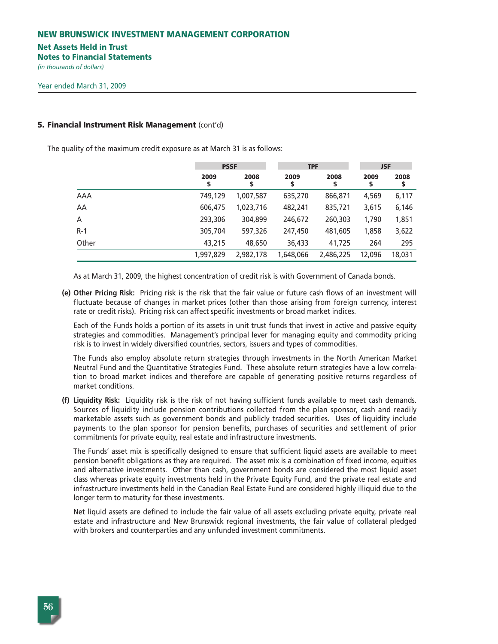#### **Net Assets Held in Trust**

**Notes to Financial Statements**

*(in thousands of dollars)* 

#### **5. Financial Instrument Risk Management** (cont'd)

The quality of the maximum credit exposure as at March 31 is as follows:

|       |            | <b>PSSF</b> |            | <b>TPF</b> | <b>JSF</b> |            |  |
|-------|------------|-------------|------------|------------|------------|------------|--|
|       | 2009<br>\$ | 2008<br>\$  | 2009<br>\$ | 2008<br>\$ | 2009<br>\$ | 2008<br>\$ |  |
| AAA   | 749,129    | 1,007,587   | 635,270    | 866,871    | 4,569      | 6,117      |  |
| AA    | 606,475    | 1,023,716   | 482,241    | 835,721    | 3,615      | 6,146      |  |
| A     | 293,306    | 304,899     | 246,672    | 260,303    | 1,790      | 1,851      |  |
| $R-1$ | 305,704    | 597,326     | 247,450    | 481,605    | 1,858      | 3,622      |  |
| Other | 43,215     | 48,650      | 36,433     | 41,725     | 264        | 295        |  |
|       | 1,997,829  | 2,982,178   | 1,648,066  | 2,486,225  | 12,096     | 18,031     |  |

As at March 31, 2009, the highest concentration of credit risk is with Government of Canada bonds.

**(e) Other Pricing Risk:** Pricing risk is the risk that the fair value or future cash flows of an investment will fluctuate because of changes in market prices (other than those arising from foreign currency, interest rate or credit risks). Pricing risk can affect specific investments or broad market indices.

Each of the Funds holds a portion of its assets in unit trust funds that invest in active and passive equity strategies and commodities. Management's principal lever for managing equity and commodity pricing risk is to invest in widely diversified countries, sectors, issuers and types of commodities.

The Funds also employ absolute return strategies through investments in the North American Market Neutral Fund and the Quantitative Strategies Fund. These absolute return strategies have a low correlation to broad market indices and therefore are capable of generating positive returns regardless of market conditions.

**(f) Liquidity Risk:** Liquidity risk is the risk of not having sufficient funds available to meet cash demands. Sources of liquidity include pension contributions collected from the plan sponsor, cash and readily marketable assets such as government bonds and publicly traded securities. Uses of liquidity include payments to the plan sponsor for pension benefits, purchases of securities and settlement of prior commitments for private equity, real estate and infrastructure investments.

The Funds' asset mix is specifically designed to ensure that sufficient liquid assets are available to meet pension benefit obligations as they are required. The asset mix is a combination of fixed income, equities and alternative investments. Other than cash, government bonds are considered the most liquid asset class whereas private equity investments held in the Private Equity Fund, and the private real estate and infrastructure investments held in the Canadian Real Estate Fund are considered highly illiquid due to the longer term to maturity for these investments.

Net liquid assets are defined to include the fair value of all assets excluding private equity, private real estate and infrastructure and New Brunswick regional investments, the fair value of collateral pledged with brokers and counterparties and any unfunded investment commitments.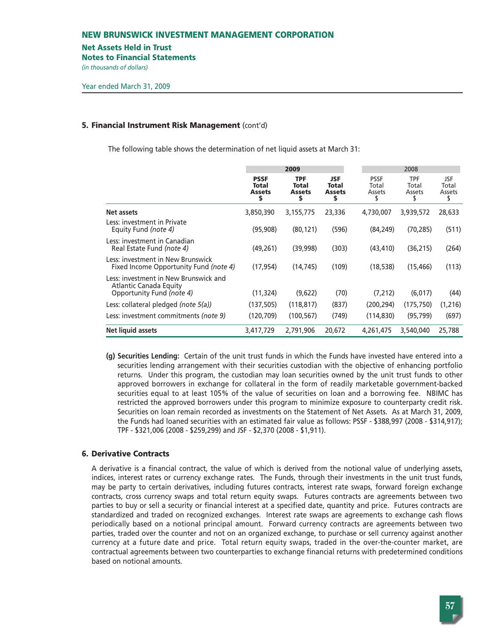#### **Net Assets Held in Trust**

**Notes to Financial Statements**

*(in thousands of dollars)* 

### **5. Financial Instrument Risk Management** (cont'd)

The following table shows the determination of net liquid assets at March 31:

|                                                                                              |                                             | 2009                                              |                                                   | 2008                           |                        |                              |
|----------------------------------------------------------------------------------------------|---------------------------------------------|---------------------------------------------------|---------------------------------------------------|--------------------------------|------------------------|------------------------------|
|                                                                                              | <b>PSSF</b><br>Total<br><b>Assets</b><br>\$ | <b>TPF</b><br><b>Total</b><br><b>Assets</b><br>\$ | <b>JSF</b><br><b>Total</b><br><b>Assets</b><br>\$ | <b>PSSF</b><br>Total<br>Assets | TPF<br>Total<br>Assets | JSF<br>Total<br>Assets<br>\$ |
| <b>Net assets</b>                                                                            | 3,850,390                                   | 3,155,775                                         | 23,336                                            | 4,730,007                      | 3,939,572              | 28,633                       |
| Less: investment in Private<br>Equity Fund (note 4)                                          | (95, 908)                                   | (80, 121)                                         | (596)                                             | (84, 249)                      | (70, 285)              | (511)                        |
| Less: investment in Canadian<br>Real Estate Fund (note 4)                                    | (49, 261)                                   | (39,998)                                          | (303)                                             | (43, 410)                      | (36, 215)              | (264)                        |
| Less: investment in New Brunswick<br>Fixed Income Opportunity Fund (note 4)                  | (17, 954)                                   | (14, 745)                                         | (109)                                             | (18, 538)                      | (15, 466)              | (113)                        |
| Less: investment in New Brunswick and<br>Atlantic Canada Equity<br>Opportunity Fund (note 4) | (11, 324)                                   | (9,622)                                           | (70)                                              | (7,212)                        | (6,017)                | (44)                         |
| Less: collateral pledged (note $5(a)$ )                                                      | (137, 505)                                  | (118, 817)                                        | (837)                                             | (200, 294)                     | (175, 750)             | (1, 216)                     |
| Less: investment commitments (note 9)                                                        | (120, 709)                                  | (100, 567)                                        | (749)                                             | (114, 830)                     | (95, 799)              | (697)                        |
| Net liquid assets                                                                            | 3,417,729                                   | 2,791,906                                         | 20,672                                            | 4,261,475                      | 3,540,040              | 25,788                       |

**(g) Securities Lending:** Certain of the unit trust funds in which the Funds have invested have entered into a securities lending arrangement with their securities custodian with the objective of enhancing portfolio returns. Under this program, the custodian may loan securities owned by the unit trust funds to other approved borrowers in exchange for collateral in the form of readily marketable government-backed securities equal to at least 105% of the value of securities on loan and a borrowing fee. NBIMC has restricted the approved borrowers under this program to minimize exposure to counterparty credit risk. Securities on loan remain recorded as investments on the Statement of Net Assets. As at March 31, 2009, the Funds had loaned securities with an estimated fair value as follows: PSSF - \$388,997 (2008 - \$314,917); TPF - \$321,006 (2008 - \$259,299) and JSF - \$2,370 (2008 - \$1,911).

# **6. Derivative Contracts**

A derivative is a financial contract, the value of which is derived from the notional value of underlying assets, indices, interest rates or currency exchange rates. The Funds, through their investments in the unit trust funds, may be party to certain derivatives, including futures contracts, interest rate swaps, forward foreign exchange contracts, cross currency swaps and total return equity swaps. Futures contracts are agreements between two parties to buy or sell a security or financial interest at a specified date, quantity and price. Futures contracts are standardized and traded on recognized exchanges. Interest rate swaps are agreements to exchange cash flows periodically based on a notional principal amount. Forward currency contracts are agreements between two parties, traded over the counter and not on an organized exchange, to purchase or sell currency against another currency at a future date and price. Total return equity swaps, traded in the over-the-counter market, are contractual agreements between two counterparties to exchange financial returns with predetermined conditions based on notional amounts.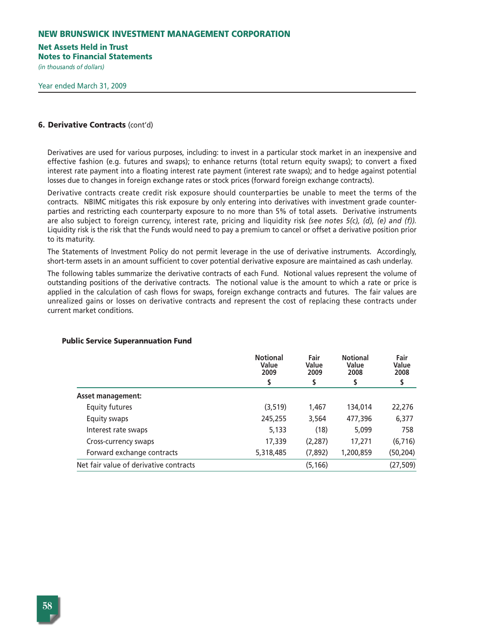# **Net Assets Held in Trust**

**Notes to Financial Statements**

*(in thousands of dollars)* 

# **6. Derivative Contracts** (cont'd)

Derivatives are used for various purposes, including: to invest in a particular stock market in an inexpensive and effective fashion (e.g. futures and swaps); to enhance returns (total return equity swaps); to convert a fixed interest rate payment into a floating interest rate payment (interest rate swaps); and to hedge against potential losses due to changes in foreign exchange rates or stock prices (forward foreign exchange contracts).

Derivative contracts create credit risk exposure should counterparties be unable to meet the terms of the contracts. NBIMC mitigates this risk exposure by only entering into derivatives with investment grade counterparties and restricting each counterparty exposure to no more than 5% of total assets. Derivative instruments are also subject to foreign currency, interest rate, pricing and liquidity risk *(see notes 5(c), (d), (e) and (f)).* Liquidity risk is the risk that the Funds would need to pay a premium to cancel or offset a derivative position prior to its maturity.

The Statements of Investment Policy do not permit leverage in the use of derivative instruments. Accordingly, short-term assets in an amount sufficient to cover potential derivative exposure are maintained as cash underlay.

The following tables summarize the derivative contracts of each Fund. Notional values represent the volume of outstanding positions of the derivative contracts. The notional value is the amount to which a rate or price is applied in the calculation of cash flows for swaps, foreign exchange contracts and futures. The fair values are unrealized gains or losses on derivative contracts and represent the cost of replacing these contracts under current market conditions.

#### **Public Service Superannuation Fund**

|                                        | <b>Notional</b><br>Value<br>2009 | Fair<br>Value<br>2009 | <b>Notional</b><br>Value<br>2008 | Fair<br>Value<br>2008 |
|----------------------------------------|----------------------------------|-----------------------|----------------------------------|-----------------------|
|                                        | \$                               |                       |                                  |                       |
| <b>Asset management:</b>               |                                  |                       |                                  |                       |
| <b>Equity futures</b>                  | (3, 519)                         | 1,467                 | 134,014                          | 22,276                |
| Equity swaps                           | 245,255                          | 3,564                 | 477,396                          | 6,377                 |
| Interest rate swaps                    | 5,133                            | (18)                  | 5,099                            | 758                   |
| Cross-currency swaps                   | 17,339                           | (2, 287)              | 17,271                           | (6, 716)              |
| Forward exchange contracts             | 5,318,485                        | (7,892)               | 1,200,859                        | (50, 204)             |
| Net fair value of derivative contracts |                                  | (5, 166)              |                                  | (27, 509)             |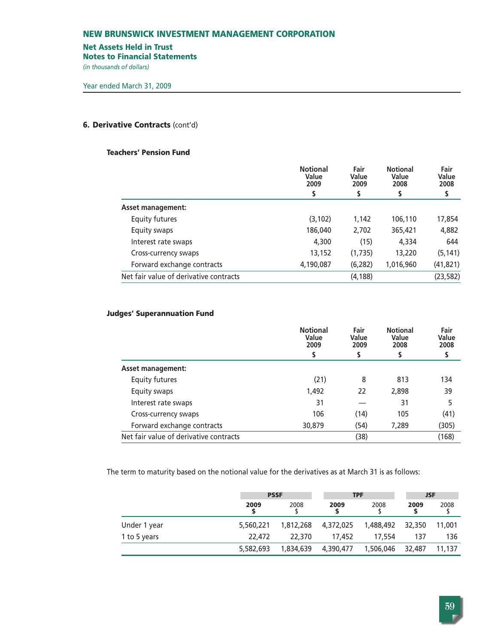# **Net Assets Held in Trust**

**Notes to Financial Statements**

*(in thousands of dollars)* 

# **6. Derivative Contracts** (cont'd)

# **Teachers' Pension Fund**

|                                        | <b>Notional</b><br>Value<br>2009 | Fair<br>Value<br>2009 | <b>Notional</b><br>Value<br>2008 | Fair<br>Value<br>2008 |
|----------------------------------------|----------------------------------|-----------------------|----------------------------------|-----------------------|
|                                        | \$                               | \$                    | S                                | Ş                     |
| <b>Asset management:</b>               |                                  |                       |                                  |                       |
| <b>Equity futures</b>                  | (3, 102)                         | 1,142                 | 106,110                          | 17,854                |
| Equity swaps                           | 186,040                          | 2,702                 | 365,421                          | 4,882                 |
| Interest rate swaps                    | 4,300                            | (15)                  | 4,334                            | 644                   |
| Cross-currency swaps                   | 13,152                           | (1,735)               | 13,220                           | (5, 141)              |
| Forward exchange contracts             | 4,190,087                        | (6, 282)              | 1,016,960                        | (41, 821)             |
| Net fair value of derivative contracts |                                  | (4, 188)              |                                  | (23, 582)             |
|                                        |                                  |                       |                                  |                       |

# **Judges' Superannuation Fund**

| <b>Notional</b><br>Value<br>2009<br>\$ | Fair<br>Value<br>2009<br>S | <b>Notional</b><br>Value<br>2008 | Fair<br>Value<br>2008<br>S |
|----------------------------------------|----------------------------|----------------------------------|----------------------------|
|                                        |                            |                                  |                            |
| (21)                                   | 8                          | 813                              | 134                        |
| 1,492                                  | 22                         | 2,898                            | 39                         |
| 31                                     |                            | 31                               | 5                          |
| 106                                    | (14)                       | 105                              | (41)                       |
| 30,879                                 | (54)                       | 7,289                            | (305)                      |
|                                        | (38)                       |                                  | (168)                      |
|                                        |                            |                                  |                            |

The term to maturity based on the notional value for the derivatives as at March 31 is as follows:

|              | <b>PSSF</b> |           | <b>TPF</b> |           | <b>JSF</b> |        |
|--------------|-------------|-----------|------------|-----------|------------|--------|
|              | 2009        | 2008      | 2009       | 2008      | 2009       | 2008   |
| Under 1 year | 5,560,221   | 1,812,268 | 4,372,025  | 1,488,492 | 32,350     | 11,001 |
| 1 to 5 years | 22,472      | 22,370    | 17,452     | 17,554    | 137        | 136    |
|              | 5,582,693   | 1,834,639 | 4,390,477  | 1,506,046 | 32,487     | 11.137 |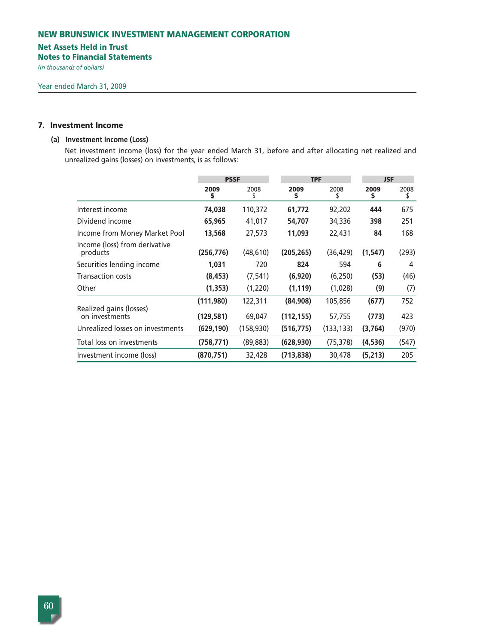# **Net Assets Held in Trust**

**Notes to Financial Statements**

*(in thousands of dollars)* 

# **7. Investment Income**

#### **(a) Investment Income (Loss)**

Net investment income (loss) for the year ended March 31, before and after allocating net realized and unrealized gains (losses) on investments, is as follows:

|                                           |            | <b>PSSF</b> |            | <b>TPF</b> |            | <b>JSF</b> |  |
|-------------------------------------------|------------|-------------|------------|------------|------------|------------|--|
|                                           | 2009<br>\$ | 2008<br>Տ   | 2009<br>\$ | 2008<br>ъ  | 2009<br>\$ | 2008<br>\$ |  |
| Interest income                           | 74,038     | 110,372     | 61,772     | 92,202     | 444        | 675        |  |
| Dividend income                           | 65,965     | 41,017      | 54,707     | 34,336     | 398        | 251        |  |
| Income from Money Market Pool             | 13,568     | 27,573      | 11,093     | 22,431     | 84         | 168        |  |
| Income (loss) from derivative<br>products | (256, 776) | (48, 610)   | (205, 265) | (36, 429)  | (1, 547)   | (293)      |  |
| Securities lending income                 | 1,031      | 720         | 824        | 594        | 6          | 4          |  |
| <b>Transaction costs</b>                  | (8, 453)   | (7, 541)    | (6,920)    | (6, 250)   | (53)       | (46)       |  |
| Other                                     | (1, 353)   | (1,220)     | (1, 119)   | (1,028)    | (9)        | (7)        |  |
| Realized gains (losses)                   | (111,980)  | 122,311     | (84,908)   | 105,856    | (677)      | 752        |  |
| on investments                            | (129, 581) | 69,047      | (112, 155) | 57,755     | (773)      | 423        |  |
| Unrealized losses on investments          | (629, 190) | (158, 930)  | (516, 775) | (133, 133) | (3,764)    | (970)      |  |
| Total loss on investments                 | (758,771)  | (89, 883)   | (628, 930) | (75, 378)  | (4,536)    | (547)      |  |
| Investment income (loss)                  | (870, 751) | 32,428      | (713, 838) | 30,478     | (5,213)    | 205        |  |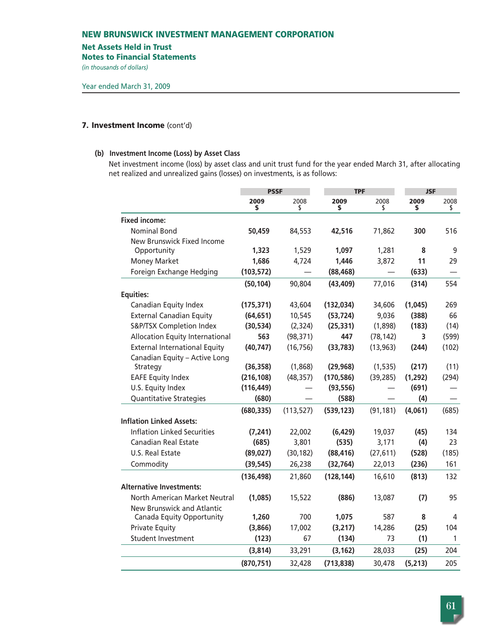#### **Net Assets Held in Trust**

**Notes to Financial Statements**

*(in thousands of dollars)* 

# **7. Investment Income** (cont'd)

# **(b) Investment Income (Loss) by Asset Class**

Net investment income (loss) by asset class and unit trust fund for the year ended March 31, after allocating net realized and unrealized gains (losses) on investments, is as follows:

|                                        | <b>PSSF</b><br><b>TPF</b> |            | <b>JSF</b> |                                |            |            |
|----------------------------------------|---------------------------|------------|------------|--------------------------------|------------|------------|
|                                        | 2009<br>\$                | 2008<br>\$ | 2009<br>\$ | 2008<br>\$                     | 2009<br>\$ | 2008<br>\$ |
| <b>Fixed income:</b>                   |                           |            |            |                                |            |            |
| <b>Nominal Bond</b>                    | 50,459                    | 84,553     | 42,516     | 71,862                         | 300        | 516        |
| New Brunswick Fixed Income             |                           |            |            |                                |            |            |
| Opportunity                            | 1,323                     | 1,529      | 1,097      | 1,281                          | 8          | 9          |
| <b>Money Market</b>                    | 1,686                     | 4,724      | 1,446      | 3,872                          | 11         | 29         |
| Foreign Exchange Hedging               | (103, 572)                |            | (88, 468)  | $\qquad \qquad \longleftarrow$ | (633)      |            |
|                                        | (50, 104)                 | 90,804     | (43, 409)  | 77,016                         | (314)      | 554        |
| <b>Equities:</b>                       |                           |            |            |                                |            |            |
| Canadian Equity Index                  | (175, 371)                | 43,604     | (132, 034) | 34,606                         | (1,045)    | 269        |
| <b>External Canadian Equity</b>        | (64, 651)                 | 10,545     | (53, 724)  | 9,036                          | (388)      | 66         |
| S&P/TSX Completion Index               | (30, 534)                 | (2, 324)   | (25, 331)  | (1,898)                        | (183)      | (14)       |
| <b>Allocation Equity International</b> | 563                       | (98, 371)  | 447        | (78, 142)                      | 3          | (599)      |
| <b>External International Equity</b>   | (40, 747)                 | (16, 756)  | (33, 783)  | (13, 963)                      | (244)      | (102)      |
| Canadian Equity - Active Long          |                           |            |            |                                |            |            |
| Strategy                               | (36, 358)                 | (1,868)    | (29, 968)  | (1, 535)                       | (217)      | (11)       |
| <b>EAFE Equity Index</b>               | (216, 108)                | (48, 357)  | (170, 586) | (39, 285)                      | (1, 292)   | (294)      |
| U.S. Equity Index                      | (116, 449)                |            | (93, 556)  |                                | (691)      |            |
| Quantitative Strategies                | (680)                     |            | (588)      |                                | (4)        |            |
|                                        | (680, 335)                | (113, 527) | (539, 123) | (91, 181)                      | (4,061)    | (685)      |
| <b>Inflation Linked Assets:</b>        |                           |            |            |                                |            |            |
| <b>Inflation Linked Securities</b>     | (7, 241)                  | 22,002     | (6, 429)   | 19,037                         | (45)       | 134        |
| <b>Canadian Real Estate</b>            | (685)                     | 3,801      | (535)      | 3,171                          | (4)        | 23         |
| U.S. Real Estate                       | (89, 027)                 | (30, 182)  | (88, 416)  | (27, 611)                      | (528)      | (185)      |
| Commodity                              | (39, 545)                 | 26,238     | (32, 764)  | 22,013                         | (236)      | 161        |
|                                        | (136, 498)                | 21,860     | (128, 144) | 16,610                         | (813)      | 132        |
| <b>Alternative Investments:</b>        |                           |            |            |                                |            |            |
| North American Market Neutral          | (1,085)                   | 15,522     | (886)      | 13,087                         | (7)        | 95         |
| New Brunswick and Atlantic             |                           |            |            |                                |            |            |
| Canada Equity Opportunity              | 1,260                     | 700        | 1,075      | 587                            | 8          | 4          |
| <b>Private Equity</b>                  | (3,866)                   | 17,002     | (3,217)    | 14,286                         | (25)       | 104        |
| Student Investment                     | (123)                     | 67         | (134)      | 73                             | (1)        | 1          |
|                                        | (3,814)                   | 33,291     | (3, 162)   | 28,033                         | (25)       | 204        |
|                                        | (870, 751)                | 32,428     | (713, 838) | 30,478                         | (5,213)    | 205        |